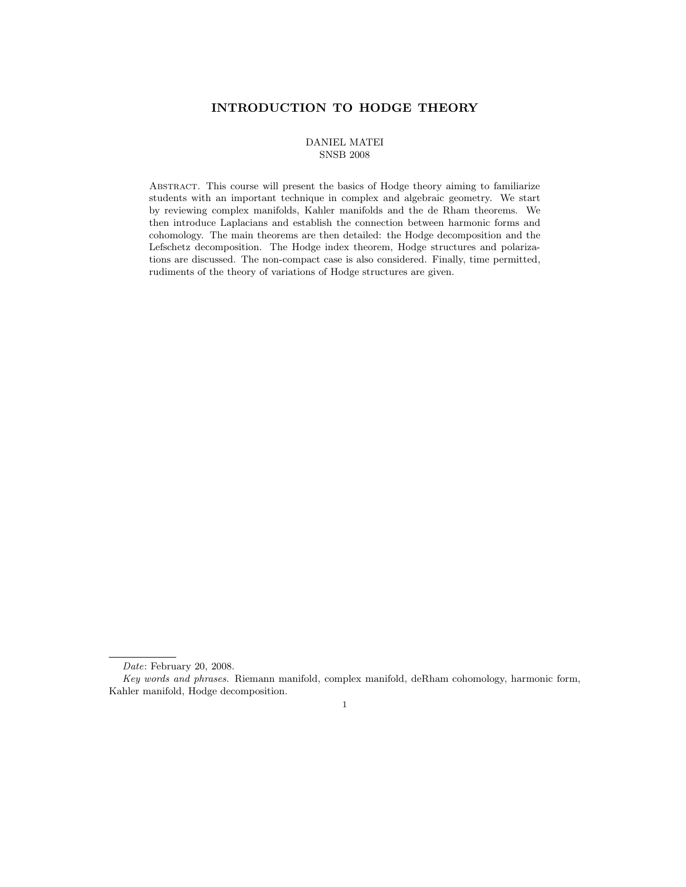# INTRODUCTION TO HODGE THEORY

## DANIEL MATEI SNSB 2008

Abstract. This course will present the basics of Hodge theory aiming to familiarize students with an important technique in complex and algebraic geometry. We start by reviewing complex manifolds, Kahler manifolds and the de Rham theorems. We then introduce Laplacians and establish the connection between harmonic forms and cohomology. The main theorems are then detailed: the Hodge decomposition and the Lefschetz decomposition. The Hodge index theorem, Hodge structures and polarizations are discussed. The non-compact case is also considered. Finally, time permitted, rudiments of the theory of variations of Hodge structures are given.

Date: February 20, 2008.

Key words and phrases. Riemann manifold, complex manifold, deRham cohomology, harmonic form, Kahler manifold, Hodge decomposition.

<sup>1</sup>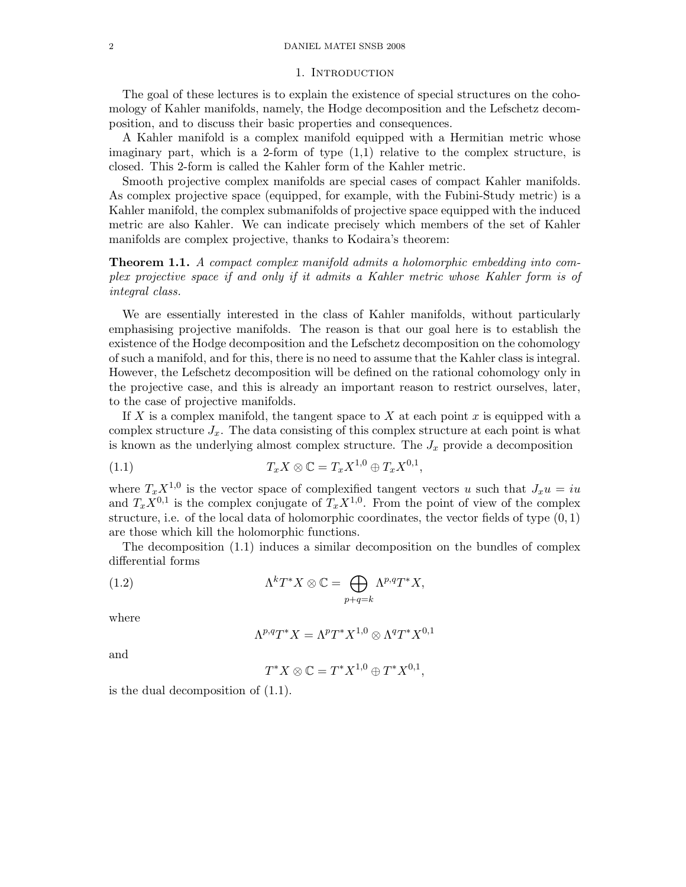#### 1. INTRODUCTION

The goal of these lectures is to explain the existence of special structures on the cohomology of Kahler manifolds, namely, the Hodge decomposition and the Lefschetz decomposition, and to discuss their basic properties and consequences.

A Kahler manifold is a complex manifold equipped with a Hermitian metric whose imaginary part, which is a 2-form of type  $(1,1)$  relative to the complex structure, is closed. This 2-form is called the Kahler form of the Kahler metric.

Smooth projective complex manifolds are special cases of compact Kahler manifolds. As complex projective space (equipped, for example, with the Fubini-Study metric) is a Kahler manifold, the complex submanifolds of projective space equipped with the induced metric are also Kahler. We can indicate precisely which members of the set of Kahler manifolds are complex projective, thanks to Kodaira's theorem:

Theorem 1.1. A compact complex manifold admits a holomorphic embedding into complex projective space if and only if it admits a Kahler metric whose Kahler form is of integral class.

We are essentially interested in the class of Kahler manifolds, without particularly emphasising projective manifolds. The reason is that our goal here is to establish the existence of the Hodge decomposition and the Lefschetz decomposition on the cohomology of such a manifold, and for this, there is no need to assume that the Kahler class is integral. However, the Lefschetz decomposition will be defined on the rational cohomology only in the projective case, and this is already an important reason to restrict ourselves, later, to the case of projective manifolds.

If X is a complex manifold, the tangent space to X at each point x is equipped with a complex structure  $J_x$ . The data consisting of this complex structure at each point is what is known as the underlying almost complex structure. The  $J_x$  provide a decomposition

$$
(1.1) \t\t T_x X \otimes \mathbb{C} = T_x X^{1,0} \oplus T_x X^{0,1},
$$

where  $T_x X^{1,0}$  is the vector space of complexified tangent vectors u such that  $J_x u = iu$ and  $T_xX^{0,1}$  is the complex conjugate of  $T_xX^{1,0}$ . From the point of view of the complex structure, i.e. of the local data of holomorphic coordinates, the vector fields of type  $(0, 1)$ are those which kill the holomorphic functions.

The decomposition (1.1) induces a similar decomposition on the bundles of complex differential forms

(1.2) 
$$
\Lambda^k T^* X \otimes \mathbb{C} = \bigoplus_{p+q=k} \Lambda^{p,q} T^* X,
$$

where

$$
\Lambda^{p,q}T^*X=\Lambda^pT^*X^{1,0}\otimes \Lambda^qT^*X^{0,1}
$$

and

$$
T^*X \otimes \mathbb{C} = T^*X^{1,0} \oplus T^*X^{0,1},
$$

is the dual decomposition of (1.1).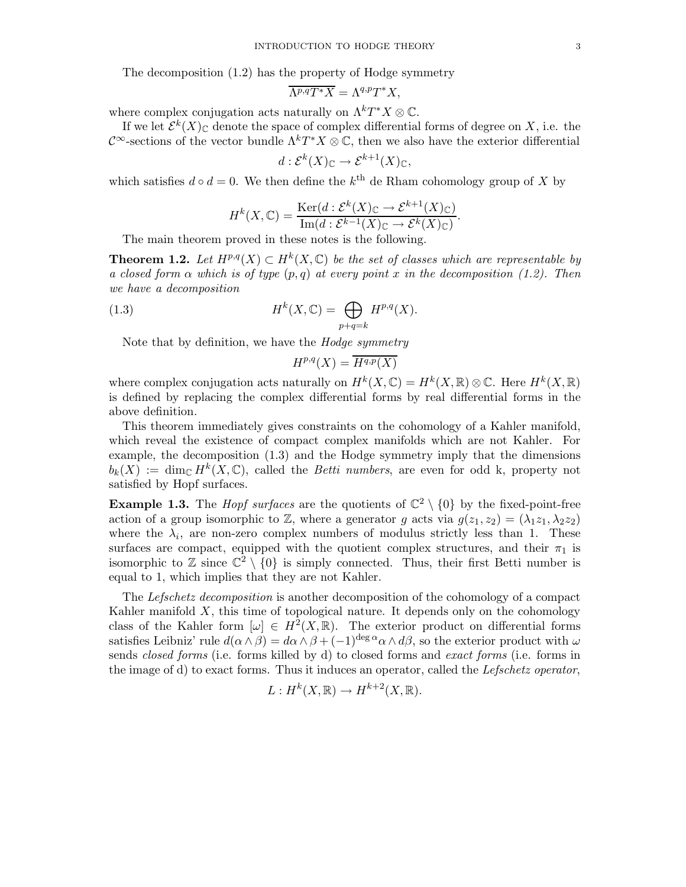The decomposition (1.2) has the property of Hodge symmetry

$$
\overline{\Lambda^{p,q}T^*X} = \Lambda^{q,p}T^*X,
$$

where complex conjugation acts naturally on  $\Lambda^k T^* X \otimes \mathbb{C}$ .

If we let  $\mathcal{E}^{k}(X)_{\mathbb{C}}$  denote the space of complex differential forms of degree on X, i.e. the  $\mathcal{C}^{\infty}$ -sections of the vector bundle  $\Lambda^k T^*X \otimes \mathbb{C}$ , then we also have the exterior differential

$$
d: \mathcal{E}^k(X)_{\mathbb{C}} \to \mathcal{E}^{k+1}(X)_{\mathbb{C}},
$$

which satisfies  $d \circ d = 0$ . We then define the  $k^{\text{th}}$  de Rham cohomology group of X by

$$
H^{k}(X,\mathbb{C}) = \frac{\text{Ker}(d : \mathcal{E}^{k}(X)_{\mathbb{C}} \to \mathcal{E}^{k+1}(X)_{\mathbb{C}})}{\text{Im}(d : \mathcal{E}^{k-1}(X)_{\mathbb{C}} \to \mathcal{E}^{k}(X)_{\mathbb{C}})}.
$$

The main theorem proved in these notes is the following.

**Theorem 1.2.** Let  $H^{p,q}(X) \subset H^k(X,\mathbb{C})$  be the set of classes which are representable by a closed form  $\alpha$  which is of type  $(p,q)$  at every point x in the decomposition (1.2). Then we have a decomposition

(1.3) 
$$
H^{k}(X,\mathbb{C}) = \bigoplus_{p+q=k} H^{p,q}(X).
$$

Note that by definition, we have the *Hodge symmetry* 

$$
H^{p,q}(X) = \overline{H^{q,p}(X)}
$$

where complex conjugation acts naturally on  $H^k(X, \mathbb{C}) = H^k(X, \mathbb{R}) \otimes \mathbb{C}$ . Here  $H^k(X, \mathbb{R})$ is defined by replacing the complex differential forms by real differential forms in the above definition.

This theorem immediately gives constraints on the cohomology of a Kahler manifold, which reveal the existence of compact complex manifolds which are not Kahler. For example, the decomposition (1.3) and the Hodge symmetry imply that the dimensions  $b_k(X) := \dim_{\mathbb{C}} H^k(X, \mathbb{C})$ , called the *Betti numbers*, are even for odd k, property not satisfied by Hopf surfaces.

**Example 1.3.** The *Hopf surfaces* are the quotients of  $\mathbb{C}^2 \setminus \{0\}$  by the fixed-point-free action of a group isomorphic to Z, where a generator q acts via  $g(z_1, z_2) = (\lambda_1 z_1, \lambda_2 z_2)$ where the  $\lambda_i$ , are non-zero complex numbers of modulus strictly less than 1. These surfaces are compact, equipped with the quotient complex structures, and their  $\pi_1$  is isomorphic to  $\mathbb{Z}$  since  $\mathbb{C}^2 \setminus \{0\}$  is simply connected. Thus, their first Betti number is equal to 1, which implies that they are not Kahler.

The Lefschetz decomposition is another decomposition of the cohomology of a compact Kahler manifold  $X$ , this time of topological nature. It depends only on the cohomology class of the Kahler form  $[\omega] \in H^2(X,\mathbb{R})$ . The exterior product on differential forms satisfies Leibniz' rule  $d(\alpha \wedge \beta) = d\alpha \wedge \beta + (-1)^{deg \alpha} \alpha \wedge d\beta$ , so the exterior product with  $\omega$ sends closed forms (i.e. forms killed by d) to closed forms and exact forms (i.e. forms in the image of d) to exact forms. Thus it induces an operator, called the Lefschetz operator,

$$
L: H^k(X, \mathbb{R}) \to H^{k+2}(X, \mathbb{R}).
$$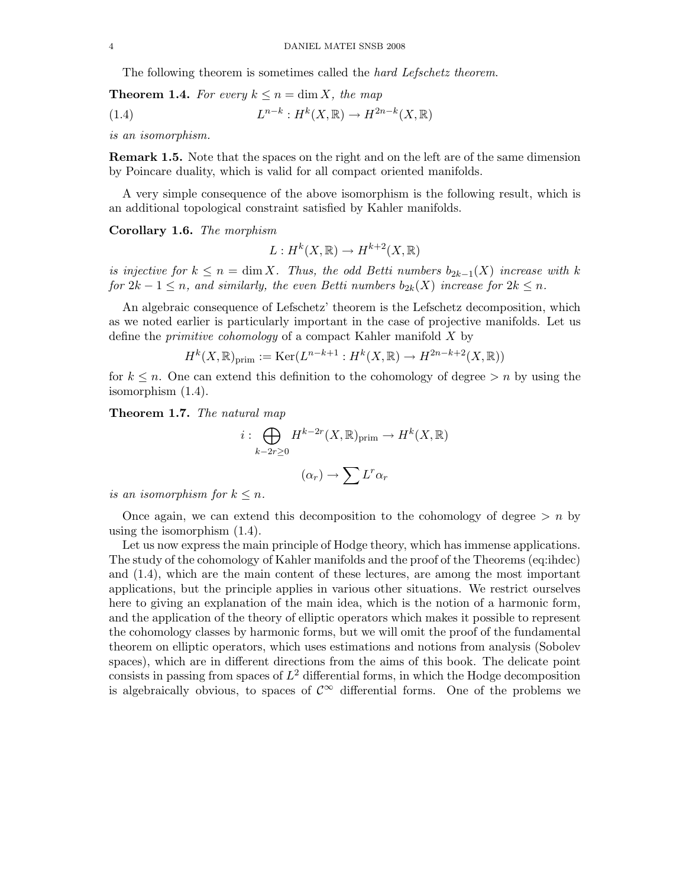The following theorem is sometimes called the hard Lefschetz theorem.

**Theorem 1.4.** For every  $k \leq n = \dim X$ , the map

 $(1.4)$  $h^{n-k}: H^k(X, \mathbb{R}) \to H^{2n-k}(X, \mathbb{R})$ 

is an isomorphism.

Remark 1.5. Note that the spaces on the right and on the left are of the same dimension by Poincare duality, which is valid for all compact oriented manifolds.

A very simple consequence of the above isomorphism is the following result, which is an additional topological constraint satisfied by Kahler manifolds.

Corollary 1.6. The morphism

$$
L: H^k(X, \mathbb{R}) \to H^{k+2}(X, \mathbb{R})
$$

is injective for  $k \leq n = \dim X$ . Thus, the odd Betti numbers  $b_{2k-1}(X)$  increase with k for  $2k - 1 \leq n$ , and similarly, the even Betti numbers  $b_{2k}(X)$  increase for  $2k \leq n$ .

An algebraic consequence of Lefschetz' theorem is the Lefschetz decomposition, which as we noted earlier is particularly important in the case of projective manifolds. Let us define the primitive cohomology of a compact Kahler manifold X by

$$
H^k(X, \mathbb{R})_{\mathrm{prim}} := \mathrm{Ker}(L^{n-k+1} : H^k(X, \mathbb{R}) \to H^{2n-k+2}(X, \mathbb{R}))
$$

for  $k \leq n$ . One can extend this definition to the cohomology of degree  $>n$  by using the isomorphism (1.4).

Theorem 1.7. The natural map

$$
i: \bigoplus_{k-2r\geq 0} H^{k-2r}(X,\mathbb{R})_{\text{prim}} \to H^k(X,\mathbb{R})
$$

$$
(\alpha_r) \to \sum L^r \alpha_r
$$

is an isomorphism for  $k \leq n$ .

Once again, we can extend this decomposition to the cohomology of degree  $\geq n$  by using the isomorphism (1.4).

Let us now express the main principle of Hodge theory, which has immense applications. The study of the cohomology of Kahler manifolds and the proof of the Theorems (eq:ihdec) and (1.4), which are the main content of these lectures, are among the most important applications, but the principle applies in various other situations. We restrict ourselves here to giving an explanation of the main idea, which is the notion of a harmonic form, and the application of the theory of elliptic operators which makes it possible to represent the cohomology classes by harmonic forms, but we will omit the proof of the fundamental theorem on elliptic operators, which uses estimations and notions from analysis (Sobolev spaces), which are in different directions from the aims of this book. The delicate point consists in passing from spaces of  $L^2$  differential forms, in which the Hodge decomposition is algebraically obvious, to spaces of  $\mathcal{C}^{\infty}$  differential forms. One of the problems we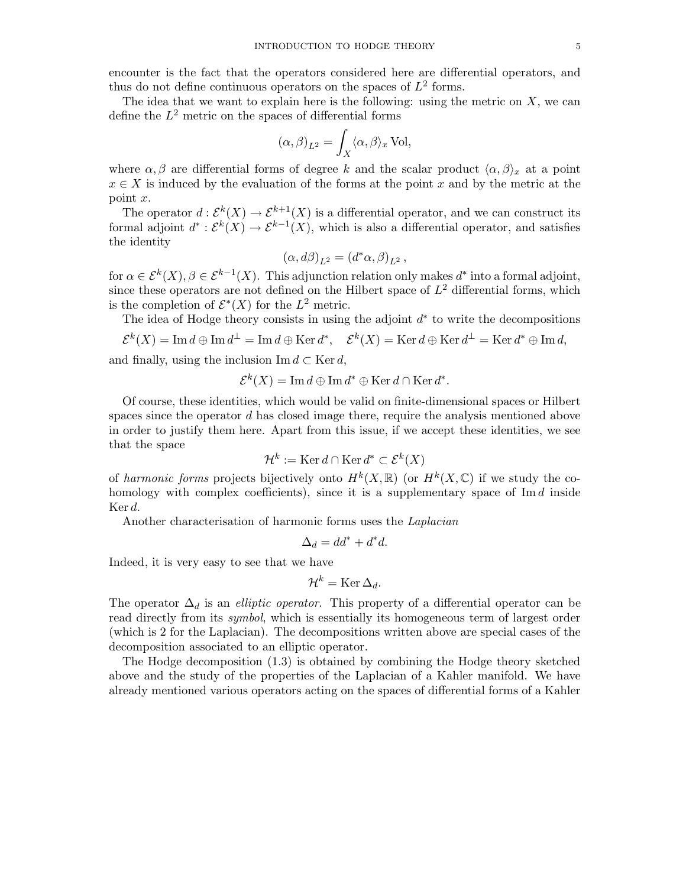encounter is the fact that the operators considered here are differential operators, and thus do not define continuous operators on the spaces of  $L^2$  forms.

The idea that we want to explain here is the following: using the metric on  $X$ , we can define the  $L^2$  metric on the spaces of differential forms

$$
(\alpha,\beta)_{L^2} = \int_X \langle \alpha,\beta \rangle_x \text{ Vol},
$$

where  $\alpha, \beta$  are differential forms of degree k and the scalar product  $\langle \alpha, \beta \rangle_x$  at a point  $x \in X$  is induced by the evaluation of the forms at the point x and by the metric at the point x.

The operator  $d: \mathcal{E}^k(X) \to \mathcal{E}^{k+1}(X)$  is a differential operator, and we can construct its formal adjoint  $d^*: \mathcal{E}^k(X) \to \mathcal{E}^{k-1}(X)$ , which is also a differential operator, and satisfies the identity

$$
(\alpha,d\beta)_{L^2}=(d^*\alpha,\beta)_{L^2}\,,
$$

for  $\alpha \in \mathcal{E}^k(X)$ ,  $\beta \in \mathcal{E}^{k-1}(X)$ . This adjunction relation only makes  $d^*$  into a formal adjoint, since these operators are not defined on the Hilbert space of  $L^2$  differential forms, which is the completion of  $\mathcal{E}^*(X)$  for the  $L^2$  metric.

The idea of Hodge theory consists in using the adjoint  $d^*$  to write the decompositions

$$
\mathcal{E}^k(X)=\operatorname{Im} d\oplus \operatorname{Im} d^\perp=\operatorname{Im} d\oplus \operatorname{Ker} d^*,\quad \mathcal{E}^k(X)=\operatorname{Ker} d\oplus \operatorname{Ker} d^\perp=\operatorname{Ker} d^*\oplus \operatorname{Im} d,
$$

and finally, using the inclusion Im  $d \subset \text{Ker } d$ ,

$$
\mathcal{E}^k(X) = \operatorname{Im} d \oplus \operatorname{Im} d^* \oplus \operatorname{Ker} d \cap \operatorname{Ker} d^*.
$$

Of course, these identities, which would be valid on finite-dimensional spaces or Hilbert spaces since the operator d has closed image there, require the analysis mentioned above in order to justify them here. Apart from this issue, if we accept these identities, we see that the space

$$
\mathcal{H}^k := \text{Ker}\,d \cap \text{Ker}\,d^* \subset \mathcal{E}^k(X)
$$

of harmonic forms projects bijectively onto  $H^k(X,\mathbb{R})$  (or  $H^k(X,\mathbb{C})$  if we study the cohomology with complex coefficients), since it is a supplementary space of  $\text{Im } d$  inside Ker d.

Another characterisation of harmonic forms uses the Laplacian

$$
\Delta_d=dd^*+d^*d.
$$

Indeed, it is very easy to see that we have

$$
\mathcal{H}^k = \operatorname{Ker} \Delta_d.
$$

The operator  $\Delta_d$  is an *elliptic operator*. This property of a differential operator can be read directly from its symbol, which is essentially its homogeneous term of largest order (which is 2 for the Laplacian). The decompositions written above are special cases of the decomposition associated to an elliptic operator.

The Hodge decomposition (1.3) is obtained by combining the Hodge theory sketched above and the study of the properties of the Laplacian of a Kahler manifold. We have already mentioned various operators acting on the spaces of differential forms of a Kahler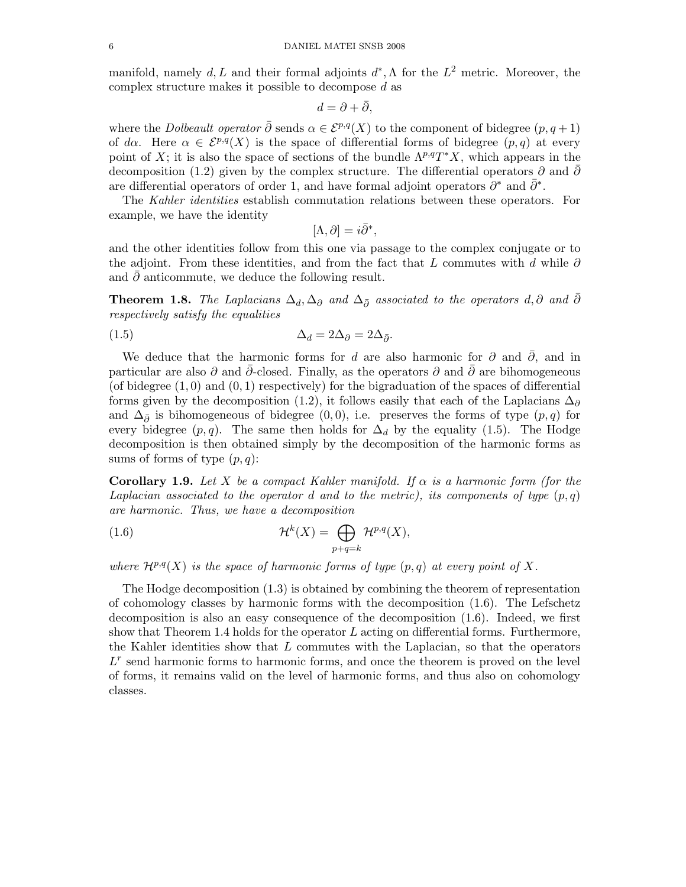manifold, namely  $d, L$  and their formal adjoints  $d^*, \Lambda$  for the  $L^2$  metric. Moreover, the complex structure makes it possible to decompose d as

$$
d=\partial+\bar{\partial},
$$

where the *Dolbeault operator*  $\bar{\partial}$  sends  $\alpha \in \mathcal{E}^{p,q}(X)$  to the component of bidegree  $(p,q+1)$ of d $\alpha$ . Here  $\alpha \in \mathcal{E}^{p,q}(X)$  is the space of differential forms of bidegree  $(p,q)$  at every point of X; it is also the space of sections of the bundle  $\Lambda^{p,q}T^*X$ , which appears in the decomposition (1.2) given by the complex structure. The differential operators  $\partial$  and  $\partial$ are differential operators of order 1, and have formal adjoint operators  $\partial^*$  and  $\bar{\partial}^*$ .

The Kahler identities establish commutation relations between these operators. For example, we have the identity

$$
[\Lambda, \partial] = i\bar{\partial}^*,
$$

and the other identities follow from this one via passage to the complex conjugate or to the adjoint. From these identities, and from the fact that L commutes with d while  $\partial$ and  $\partial$  anticommute, we deduce the following result.

**Theorem 1.8.** The Laplacians  $\Delta_d$ ,  $\Delta_\partial$  and  $\Delta_{\bar{\partial}}$  associated to the operators d,∂ and ∂ respectively satisfy the equalities

(1.5) 
$$
\Delta_d = 2\Delta_{\partial} = 2\Delta_{\bar{\partial}}.
$$

We deduce that the harmonic forms for d are also harmonic for  $\partial$  and  $\overline{\partial}$ , and in particular are also  $\partial$  and  $\bar{\partial}$ -closed. Finally, as the operators  $\partial$  and  $\bar{\partial}$  are bihomogeneous (of bidegree  $(1,0)$  and  $(0,1)$  respectively) for the bigraduation of the spaces of differential forms given by the decomposition (1.2), it follows easily that each of the Laplacians  $\Delta_{\partial}$ and  $\Delta_{\bar{\partial}}$  is bihomogeneous of bidegree (0,0), i.e. preserves the forms of type  $(p, q)$  for every bidegree  $(p, q)$ . The same then holds for  $\Delta_d$  by the equality (1.5). The Hodge decomposition is then obtained simply by the decomposition of the harmonic forms as sums of forms of type  $(p, q)$ :

**Corollary 1.9.** Let X be a compact Kahler manifold. If  $\alpha$  is a harmonic form (for the Laplacian associated to the operator d and to the metric), its components of type  $(p,q)$ are harmonic. Thus, we have a decomposition

(1.6) 
$$
\mathcal{H}^{k}(X) = \bigoplus_{p+q=k} \mathcal{H}^{p,q}(X),
$$

where  $\mathcal{H}^{p,q}(X)$  is the space of harmonic forms of type  $(p,q)$  at every point of X.

The Hodge decomposition (1.3) is obtained by combining the theorem of representation of cohomology classes by harmonic forms with the decomposition  $(1.6)$ . The Lefschetz decomposition is also an easy consequence of the decomposition (1.6). Indeed, we first show that Theorem 1.4 holds for the operator L acting on differential forms. Furthermore, the Kahler identities show that L commutes with the Laplacian, so that the operators  $L<sup>r</sup>$  send harmonic forms to harmonic forms, and once the theorem is proved on the level of forms, it remains valid on the level of harmonic forms, and thus also on cohomology classes.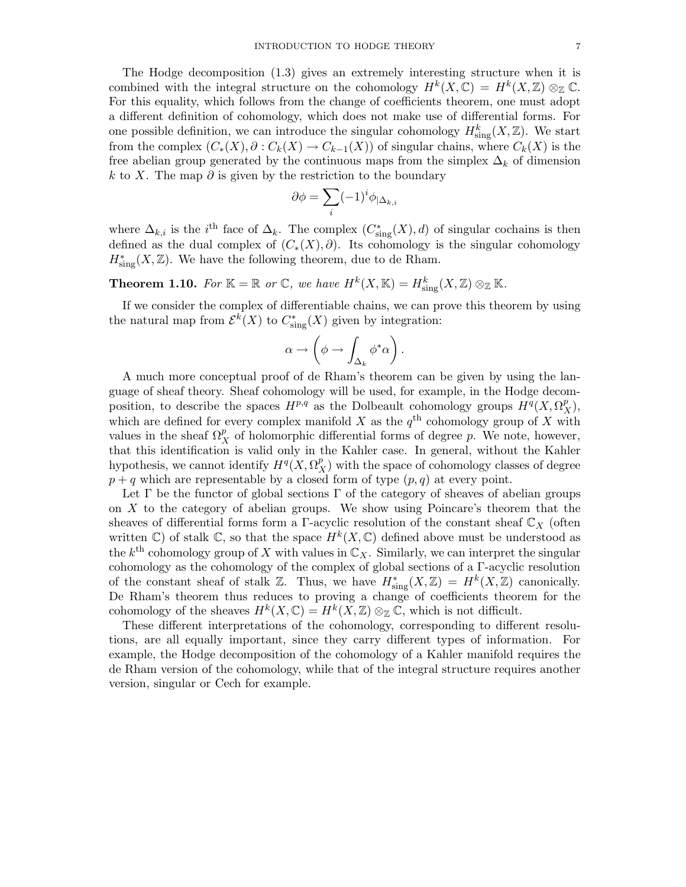The Hodge decomposition (1.3) gives an extremely interesting structure when it is combined with the integral structure on the cohomology  $H^k(X, \mathbb{C}) = H^k(X, \mathbb{Z}) \otimes_{\mathbb{Z}} \mathbb{C}$ . For this equality, which follows from the change of coefficients theorem, one must adopt a different definition of cohomology, which does not make use of differential forms. For one possible definition, we can introduce the singular cohomology  $H^k_{\text{sing}}(X,\mathbb{Z})$ . We start from the complex  $(C_*(X), \partial : C_k(X) \to C_{k-1}(X))$  of singular chains, where  $C_k(X)$  is the free abelian group generated by the continuous maps from the simplex  $\Delta_k$  of dimension k to X. The map  $\partial$  is given by the restriction to the boundary

$$
\partial \phi = \sum_i (-1)^i \phi_{|\Delta_{k,i}}
$$

where  $\Delta_{k,i}$  is the i<sup>th</sup> face of  $\Delta_k$ . The complex  $(C^*_{sing}(X), d)$  of singular cochains is then defined as the dual complex of  $(C_*(X), \partial)$ . Its cohomology is the singular cohomology  $H^*_{\text{sing}}(X,\mathbb{Z})$ . We have the following theorem, due to de Rham.

**Theorem 1.10.** For  $\mathbb{K} = \mathbb{R}$  or  $\mathbb{C}$ , we have  $H^k(X, \mathbb{K}) = H^k_{\text{sing}}(X, \mathbb{Z}) \otimes_{\mathbb{Z}} \mathbb{K}$ .

If we consider the complex of differentiable chains, we can prove this theorem by using the natural map from  $\mathcal{E}^k(X)$  to  $C^*_{\text{sing}}(X)$  given by integration:

$$
\alpha \to \left(\phi \to \int_{\Delta_k} \phi^* \alpha\right).
$$

A much more conceptual proof of de Rham's theorem can be given by using the language of sheaf theory. Sheaf cohomology will be used, for example, in the Hodge decomposition, to describe the spaces  $H^{p,q}$  as the Dolbeault cohomology groups  $H^q(X, \Omega_X^p)$ , which are defined for every complex manifold X as the  $q<sup>th</sup>$  cohomology group of X with values in the sheaf  $\Omega_X^p$  of holomorphic differential forms of degree p. We note, however, that this identification is valid only in the Kahler case. In general, without the Kahler hypothesis, we cannot identify  $H^q(X, \Omega_X^p)$  with the space of cohomology classes of degree  $p + q$  which are representable by a closed form of type  $(p, q)$  at every point.

Let  $\Gamma$  be the functor of global sections  $\Gamma$  of the category of sheaves of abelian groups on X to the category of abelian groups. We show using Poincare's theorem that the sheaves of differential forms form a Γ-acyclic resolution of the constant sheaf  $\mathbb{C}_X$  (often written C) of stalk C, so that the space  $H^k(X,\mathbb{C})$  defined above must be understood as the  $k^{\text{th}}$  cohomology group of X with values in  $\mathbb{C}_X$ . Similarly, we can interpret the singular cohomology as the cohomology of the complex of global sections of a Γ-acyclic resolution of the constant sheaf of stalk  $\mathbb{Z}$ . Thus, we have  $H^*_{\text{sing}}(X,\mathbb{Z}) = H^k(X,\mathbb{Z})$  canonically. De Rham's theorem thus reduces to proving a change of coefficients theorem for the cohomology of the sheaves  $H^k(X,\mathbb{C}) = H^k(X,\mathbb{Z}) \otimes_{\mathbb{Z}} \mathbb{C}$ , which is not difficult.

These different interpretations of the cohomology, corresponding to different resolutions, are all equally important, since they carry different types of information. For example, the Hodge decomposition of the cohomology of a Kahler manifold requires the de Rham version of the cohomology, while that of the integral structure requires another version, singular or Cech for example.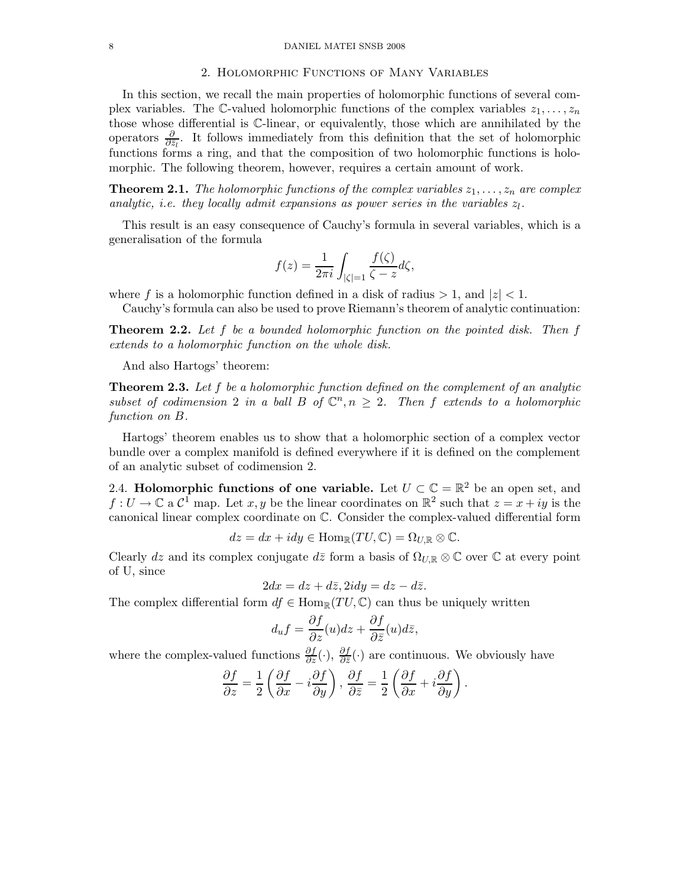#### 2. Holomorphic Functions of Many Variables

In this section, we recall the main properties of holomorphic functions of several complex variables. The C-valued holomorphic functions of the complex variables  $z_1, \ldots, z_n$ those whose differential is C-linear, or equivalently, those which are annihilated by the operators  $\frac{\partial}{\partial \bar{z}_l}$ . It follows immediately from this definition that the set of holomorphic functions forms a ring, and that the composition of two holomorphic functions is holomorphic. The following theorem, however, requires a certain amount of work.

**Theorem 2.1.** The holomorphic functions of the complex variables  $z_1, \ldots, z_n$  are complex analytic, i.e. they locally admit expansions as power series in the variables  $z_l$ .

This result is an easy consequence of Cauchy's formula in several variables, which is a generalisation of the formula

$$
f(z) = \frac{1}{2\pi i} \int_{|\zeta|=1} \frac{f(\zeta)}{\zeta - z} d\zeta,
$$

where f is a holomorphic function defined in a disk of radius  $> 1$ , and  $|z| < 1$ .

Cauchy's formula can also be used to prove Riemann's theorem of analytic continuation:

**Theorem 2.2.** Let f be a bounded holomorphic function on the pointed disk. Then f extends to a holomorphic function on the whole disk.

And also Hartogs' theorem:

**Theorem 2.3.** Let  $f$  be a holomorphic function defined on the complement of an analytic subset of codimension 2 in a ball B of  $\mathbb{C}^n$ ,  $n \geq 2$ . Then f extends to a holomorphic function on B.

Hartogs' theorem enables us to show that a holomorphic section of a complex vector bundle over a complex manifold is defined everywhere if it is defined on the complement of an analytic subset of codimension 2.

2.4. Holomorphic functions of one variable. Let  $U \subset \mathbb{C} = \mathbb{R}^2$  be an open set, and  $f: U \to \mathbb{C}$  a  $\mathcal{C}^{\bar{1}}$  map. Let  $x, y$  be the linear coordinates on  $\mathbb{R}^2$  such that  $z = x + iy$  is the canonical linear complex coordinate on C. Consider the complex-valued differential form

$$
dz = dx + idy \in \text{Hom}_{\mathbb{R}}(TU, \mathbb{C}) = \Omega_{U, \mathbb{R}} \otimes \mathbb{C}.
$$

Clearly dz and its complex conjugate  $d\overline{z}$  form a basis of  $\Omega_{U,\mathbb{R}} \otimes \mathbb{C}$  over  $\mathbb{C}$  at every point of U, since

$$
2dx = dz + d\overline{z}, 2idy = dz - d\overline{z}.
$$

The complex differential form  $df \in \text{Hom}_{\mathbb{R}}(TU, \mathbb{C})$  can thus be uniquely written

$$
d_u f = \frac{\partial f}{\partial z}(u) dz + \frac{\partial f}{\partial \bar{z}}(u) d\bar{z},
$$

where the complex-valued functions  $\frac{\partial f}{\partial z}(\cdot)$ ,  $\frac{\partial f}{\partial \overline{z}}(\cdot)$  are continuous. We obviously have

$$
\frac{\partial f}{\partial z} = \frac{1}{2} \left( \frac{\partial f}{\partial x} - i \frac{\partial f}{\partial y} \right), \frac{\partial f}{\partial \bar{z}} = \frac{1}{2} \left( \frac{\partial f}{\partial x} + i \frac{\partial f}{\partial y} \right).
$$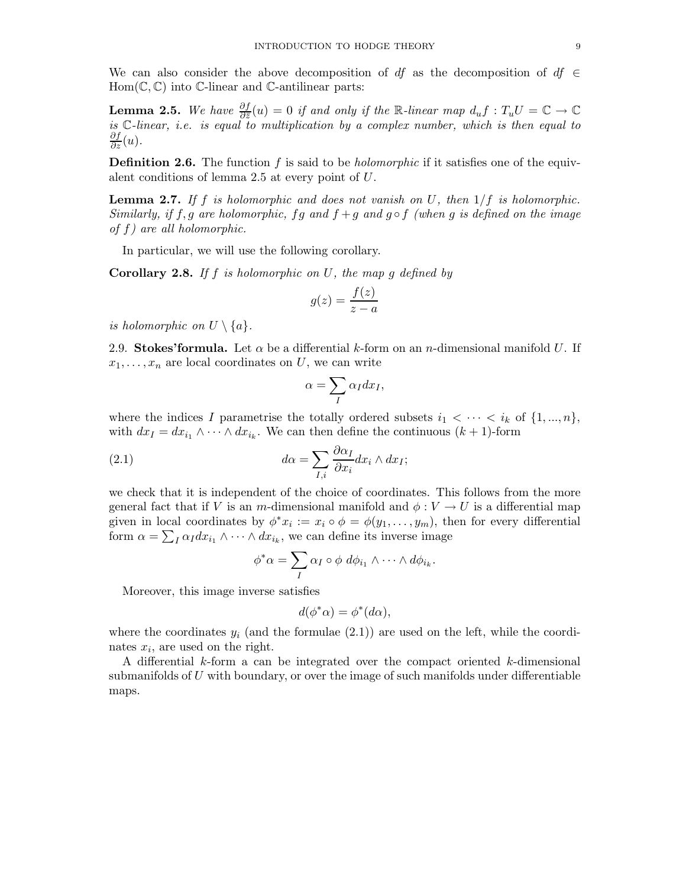We can also consider the above decomposition of df as the decomposition of df  $\in$  $Hom(\mathbb{C}, \mathbb{C})$  into  $\mathbb{C}\text{-linear}$  and  $\mathbb{C}\text{-antilinear}$  parts:

**Lemma 2.5.** We have  $\frac{\partial f}{\partial \bar{z}}(u) = 0$  if and only if the R-linear map  $d_u f : T_u U = \mathbb{C} \to \mathbb{C}$ is C-linear, i.e. is equal to multiplication by a complex number, which is then equal to  $\frac{\partial f}{\partial z}(u)$ .

**Definition 2.6.** The function f is said to be *holomorphic* if it satisfies one of the equivalent conditions of lemma 2.5 at every point of U.

**Lemma 2.7.** If f is holomorphic and does not vanish on U, then  $1/f$  is holomorphic. Similarly, if f,g are holomorphic, fg and  $f + g$  and  $g \circ f$  (when g is defined on the image of f) are all holomorphic.

In particular, we will use the following corollary.

**Corollary 2.8.** If f is holomorphic on  $U$ , the map g defined by

$$
g(z) = \frac{f(z)}{z - a}
$$

is holomorphic on  $U \setminus \{a\}.$ 

2.9. Stokes' formula. Let  $\alpha$  be a differential k-form on an n-dimensional manifold U. If  $x_1, \ldots, x_n$  are local coordinates on U, we can write

$$
\alpha = \sum_{I} \alpha_{I} dx_{I},
$$

where the indices I parametrise the totally ordered subsets  $i_1 < \cdots < i_k$  of  $\{1, ..., n\}$ , with  $dx_I = dx_{i_1} \wedge \cdots \wedge dx_{i_k}$ . We can then define the continuous  $(k+1)$ -form

(2.1) 
$$
d\alpha = \sum_{I,i} \frac{\partial \alpha_I}{\partial x_i} dx_i \wedge dx_I;
$$

we check that it is independent of the choice of coordinates. This follows from the more general fact that if V is an m-dimensional manifold and  $\phi: V \to U$  is a differential map given in local coordinates by  $\phi^* x_i := x_i \circ \phi = \phi(y_1, \dots, y_m)$ , then for every differential form  $\alpha = \sum_{I} \alpha_{I} dx_{i_{1}} \wedge \cdots \wedge dx_{i_{k}}$ , we can define its inverse image

$$
\phi^*\alpha = \sum_I \alpha_I \circ \phi \ d\phi_{i_1} \wedge \cdots \wedge d\phi_{i_k}.
$$

Moreover, this image inverse satisfies

$$
d(\phi^*\alpha) = \phi^*(d\alpha),
$$

where the coordinates  $y_i$  (and the formulae  $(2.1)$ ) are used on the left, while the coordinates  $x_i$ , are used on the right.

A differential k-form a can be integrated over the compact oriented k-dimensional submanifolds of  $U$  with boundary, or over the image of such manifolds under differentiable maps.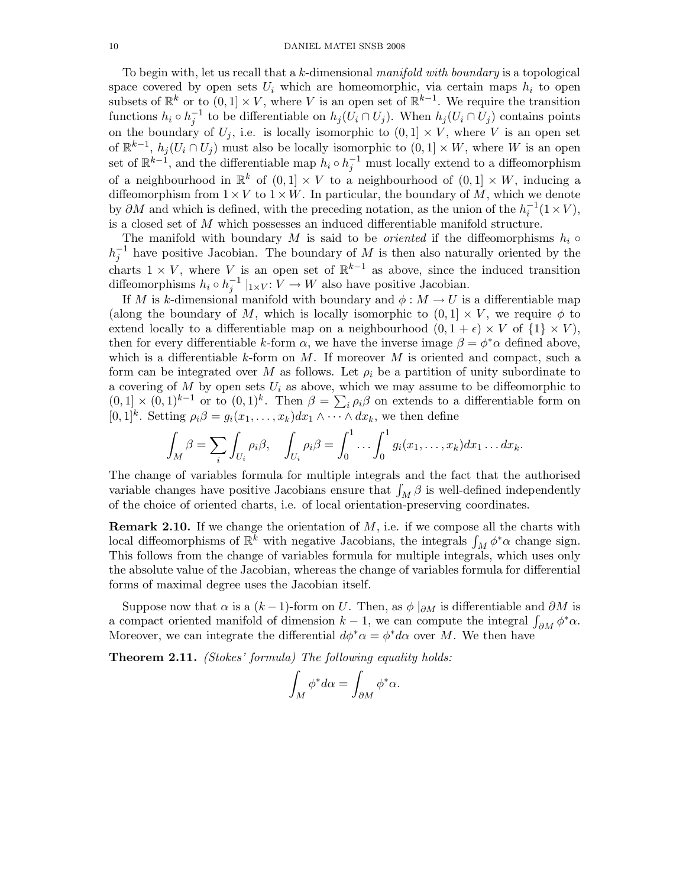To begin with, let us recall that a  $k$ -dimensional manifold with boundary is a topological space covered by open sets  $U_i$  which are homeomorphic, via certain maps  $h_i$  to open subsets of  $\mathbb{R}^k$  or to  $(0,1] \times V$ , where V is an open set of  $\mathbb{R}^{k-1}$ . We require the transition functions  $h_i \circ h_j^{-1}$  to be differentiable on  $h_j(U_i \cap U_j)$ . When  $h_j(U_i \cap U_j)$  contains points on the boundary of  $U_j$ , i.e. is locally isomorphic to  $(0,1] \times V$ , where V is an open set of  $\mathbb{R}^{k-1}$ ,  $h_j(U_i \cap U_j)$  must also be locally isomorphic to  $(0,1] \times W$ , where W is an open set of  $\mathbb{R}^{k-1}$ , and the differentiable map  $h_i \circ h_j^{-1}$  must locally extend to a diffeomorphism of a neighbourhood in  $\mathbb{R}^k$  of  $(0,1] \times V$  to a neighbourhood of  $(0,1] \times W$ , inducing a diffeomorphism from  $1 \times V$  to  $1 \times W$ . In particular, the boundary of M, which we denote by  $\partial M$  and which is defined, with the preceding notation, as the union of the  $h_i^{-1}(1 \times V)$ , is a closed set of M which possesses an induced differentiable manifold structure.

The manifold with boundary M is said to be *oriented* if the diffeomorphisms  $h_i \circ$  $h_j^{-1}$  have positive Jacobian. The boundary of M is then also naturally oriented by the charts  $1 \times V$ , where V is an open set of  $\mathbb{R}^{k-1}$  as above, since the induced transition diffeomorphisms  $h_i \circ h_j^{-1} \mid_{1 \times V} : V \to W$  also have positive Jacobian.

If M is k-dimensional manifold with boundary and  $\phi : M \to U$  is a differentiable map (along the boundary of M, which is locally isomorphic to  $(0, 1] \times V$ , we require  $\phi$  to extend locally to a differentiable map on a neighbourhood  $(0, 1 + \epsilon) \times V$  of  $\{1\} \times V$ , then for every differentiable k-form  $\alpha$ , we have the inverse image  $\beta = \phi^* \alpha$  defined above, which is a differentiable k-form on  $M$ . If moreover  $M$  is oriented and compact, such a form can be integrated over M as follows. Let  $\rho_i$  be a partition of unity subordinate to a covering of  $M$  by open sets  $U_i$  as above, which we may assume to be diffeomorphic to  $(0,1] \times (0,1)^{k-1}$  or to  $(0,1)^k$ . Then  $\beta = \sum_i \rho_i \beta$  on extends to a differentiable form on [0, 1]<sup>k</sup>. Setting  $\rho_i \beta = g_i(x_1, \ldots, x_k) dx_1 \wedge \cdots \wedge dx_k$ , we then define

$$
\int_M \beta = \sum_i \int_{U_i} \rho_i \beta, \quad \int_{U_i} \rho_i \beta = \int_0^1 \dots \int_0^1 g_i(x_1, \dots, x_k) dx_1 \dots dx_k.
$$

The change of variables formula for multiple integrals and the fact that the authorised variable changes have positive Jacobians ensure that  $\int_M \beta$  is well-defined independently of the choice of oriented charts, i.e. of local orientation-preserving coordinates.

**Remark 2.10.** If we change the orientation of  $M$ , i.e. if we compose all the charts with local diffeomorphisms of  $\mathbb{R}^k$  with negative Jacobians, the integrals  $\int_M \phi^* \alpha$  change sign. This follows from the change of variables formula for multiple integrals, which uses only the absolute value of the Jacobian, whereas the change of variables formula for differential forms of maximal degree uses the Jacobian itself.

Suppose now that  $\alpha$  is a  $(k-1)$ -form on U. Then, as  $\phi|_{\partial M}$  is differentiable and  $\partial M$  is a compact oriented manifold of dimension  $k-1$ , we can compute the integral  $\int_{\partial M} \phi^* \alpha$ . Moreover, we can integrate the differential  $d\phi^*\alpha = \phi^*d\alpha$  over M. We then have

Theorem 2.11. (Stokes' formula) The following equality holds:

$$
\int_M \phi^* d\alpha = \int_{\partial M} \phi^* \alpha.
$$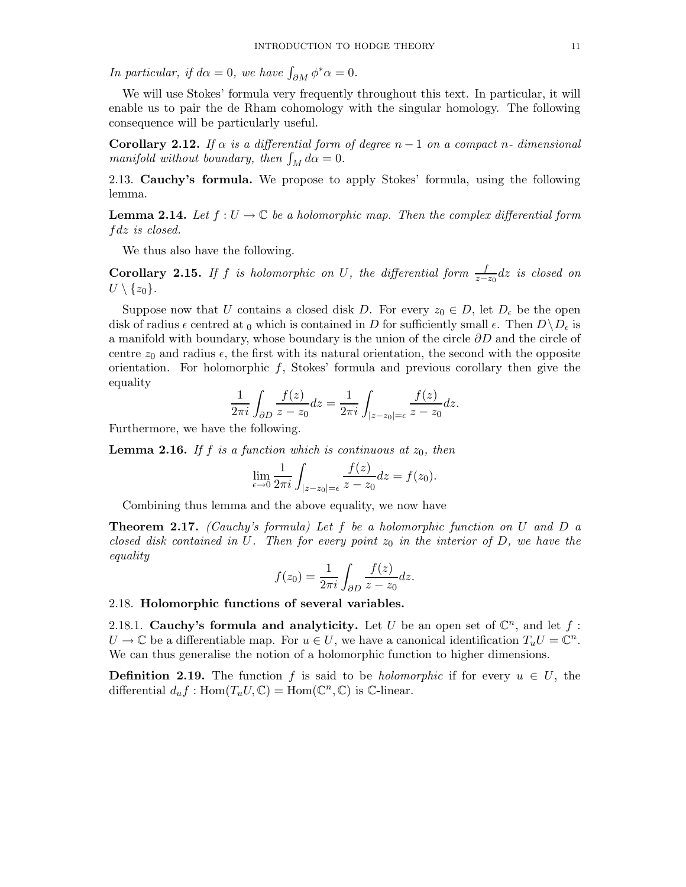In particular, if  $d\alpha = 0$ , we have  $\int_{\partial M} \phi^* \alpha = 0$ .

We will use Stokes' formula very frequently throughout this text. In particular, it will enable us to pair the de Rham cohomology with the singular homology. The following consequence will be particularly useful.

**Corollary 2.12.** If  $\alpha$  is a differential form of degree  $n-1$  on a compact n- dimensional manifold without boundary, then  $\int_M d\alpha = 0$ .

2.13. Cauchy's formula. We propose to apply Stokes' formula, using the following lemma.

**Lemma 2.14.** Let  $f: U \to \mathbb{C}$  be a holomorphic map. Then the complex differential form fdz is closed.

We thus also have the following.

**Corollary 2.15.** If f is holomorphic on U, the differential form  $\frac{f}{z-z_0}$  dz is closed on  $U \setminus \{z_0\}.$ 

Suppose now that U contains a closed disk D. For every  $z_0 \in D$ , let  $D_{\epsilon}$  be the open disk of radius  $\epsilon$  centred at 0 which is contained in D for sufficiently small  $\epsilon$ . Then  $D \backslash D_{\epsilon}$  is a manifold with boundary, whose boundary is the union of the circle  $\partial D$  and the circle of centre  $z_0$  and radius  $\epsilon$ , the first with its natural orientation, the second with the opposite orientation. For holomorphic  $f$ , Stokes' formula and previous corollary then give the equality

$$
\frac{1}{2\pi i} \int_{\partial D} \frac{f(z)}{z - z_0} dz = \frac{1}{2\pi i} \int_{|z - z_0| = \epsilon} \frac{f(z)}{z - z_0} dz.
$$

Furthermore, we have the following.

**Lemma 2.16.** If f is a function which is continuous at  $z_0$ , then

$$
\lim_{\epsilon \to 0} \frac{1}{2\pi i} \int_{|z-z_0|=\epsilon} \frac{f(z)}{z-z_0} dz = f(z_0).
$$

Combining thus lemma and the above equality, we now have

**Theorem 2.17.** (Cauchy's formula) Let f be a holomorphic function on U and D a closed disk contained in U. Then for every point  $z_0$  in the interior of D, we have the equality

$$
f(z_0) = \frac{1}{2\pi i} \int_{\partial D} \frac{f(z)}{z - z_0} dz.
$$

# 2.18. Holomorphic functions of several variables.

2.18.1. Cauchy's formula and analyticity. Let U be an open set of  $\mathbb{C}^n$ , and let f:  $U \to \mathbb{C}$  be a differentiable map. For  $u \in U$ , we have a canonical identification  $T_u U = \mathbb{C}^n$ . We can thus generalise the notion of a holomorphic function to higher dimensions.

**Definition 2.19.** The function f is said to be *holomorphic* if for every  $u \in U$ , the differential  $d_u f : \text{Hom}(T_u U, \mathbb{C}) = \text{Hom}(\mathbb{C}^n, \mathbb{C})$  is C-linear.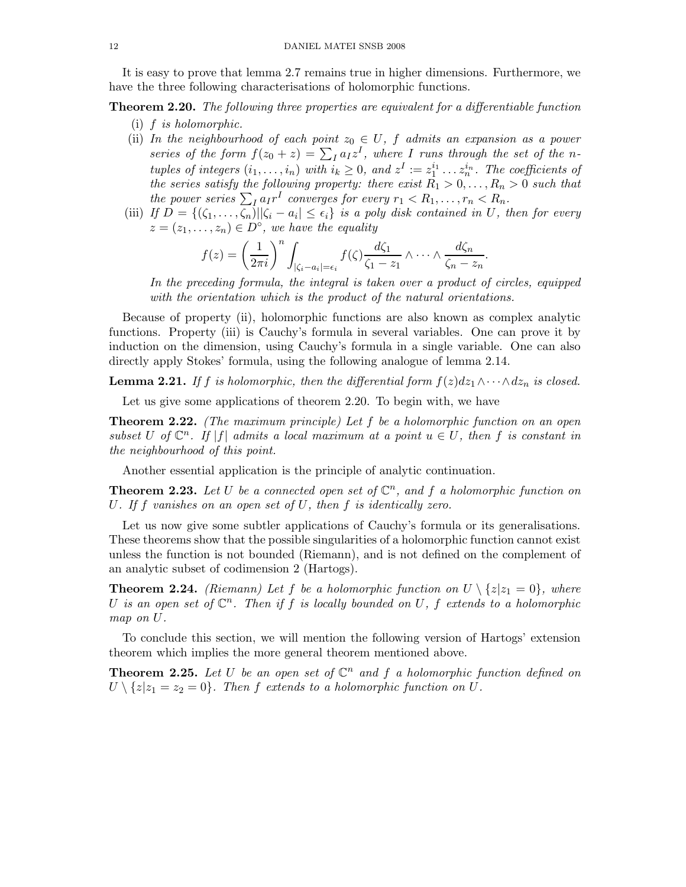It is easy to prove that lemma 2.7 remains true in higher dimensions. Furthermore, we have the three following characterisations of holomorphic functions.

**Theorem 2.20.** The following three properties are equivalent for a differentiable function

- (i) f is holomorphic.
- (ii) In the neighbourhood of each point  $z_0 \in U$ , f admits an expansion as a power series of the form  $f(z_0 + z) = \sum_I a_I z^I$ , where I runs through the set of the ntuples of integers  $(i_1, \ldots, i_n)$  with  $i_k \geq 0$ , and  $z^I := z_1^{i_1} \ldots z_n^{i_n}$ . The coefficients of the series satisfy the following property: there exist  $R_1 > 0, \ldots, R_n > 0$  such that the power series  $\sum_I a_I r^I$  converges for every  $r_1 < R_1, \ldots, r_n < R_n$ .
- (iii) If  $D = \{(\zeta_1, \ldots, \zeta_n) | |\zeta_i a_i| \leq \epsilon_i\}$  is a poly disk contained in U, then for every  $z = (z_1, \ldots, z_n) \in D^{\circ}$ , we have the equality

$$
f(z) = \left(\frac{1}{2\pi i}\right)^n \int_{|\zeta_i - a_i| = \epsilon_i} f(\zeta) \frac{d\zeta_1}{\zeta_1 - z_1} \wedge \cdots \wedge \frac{d\zeta_n}{\zeta_n - z_n}.
$$

In the preceding formula, the integral is taken over a product of circles, equipped with the orientation which is the product of the natural orientations.

Because of property (ii), holomorphic functions are also known as complex analytic functions. Property (iii) is Cauchy's formula in several variables. One can prove it by induction on the dimension, using Cauchy's formula in a single variable. One can also directly apply Stokes' formula, using the following analogue of lemma 2.14.

**Lemma 2.21.** If f is holomorphic, then the differential form  $f(z)dz_1 \wedge \cdots \wedge dz_n$  is closed.

Let us give some applications of theorem 2.20. To begin with, we have

**Theorem 2.22.** (The maximum principle) Let f be a holomorphic function on an open subset U of  $\mathbb{C}^n$ . If |f| admits a local maximum at a point  $u \in U$ , then f is constant in the neighbourhood of this point.

Another essential application is the principle of analytic continuation.

**Theorem 2.23.** Let U be a connected open set of  $\mathbb{C}^n$ , and f a holomorphic function on U. If f vanishes on an open set of U, then f is identically zero.

Let us now give some subtler applications of Cauchy's formula or its generalisations. These theorems show that the possible singularities of a holomorphic function cannot exist unless the function is not bounded (Riemann), and is not defined on the complement of an analytic subset of codimension 2 (Hartogs).

**Theorem 2.24.** (Riemann) Let f be a holomorphic function on  $U \setminus \{z|z_1 = 0\}$ , where U is an open set of  $\mathbb{C}^n$ . Then if f is locally bounded on U, f extends to a holomorphic map on U.

To conclude this section, we will mention the following version of Hartogs' extension theorem which implies the more general theorem mentioned above.

**Theorem 2.25.** Let U be an open set of  $\mathbb{C}^n$  and f a holomorphic function defined on  $U \setminus \{z|z_1 = z_2 = 0\}$ . Then f extends to a holomorphic function on U.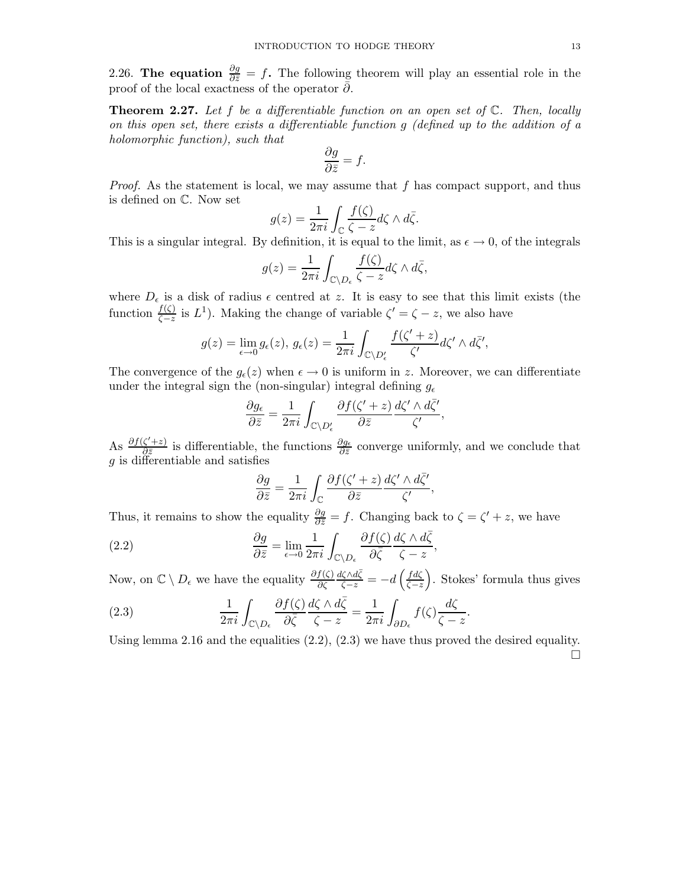2.26. The equation  $\frac{\partial g}{\partial \bar{z}} = f$ . The following theorem will play an essential role in the proof of the local exactness of the operator  $\bar{\partial}$ .

**Theorem 2.27.** Let f be a differentiable function on an open set of  $\mathbb{C}$ . Then, locally on this open set, there exists a differentiable function g (defined up to the addition of a holomorphic function), such that

$$
\frac{\partial g}{\partial \bar{z}} = f.
$$

*Proof.* As the statement is local, we may assume that  $f$  has compact support, and thus is defined on C. Now set

$$
g(z) = \frac{1}{2\pi i} \int_{\mathbb{C}} \frac{f(\zeta)}{\zeta - z} d\zeta \wedge d\bar{\zeta}.
$$

This is a singular integral. By definition, it is equal to the limit, as  $\epsilon \to 0$ , of the integrals

$$
g(z) = \frac{1}{2\pi i} \int_{\mathbb{C}\setminus D_{\epsilon}} \frac{f(\zeta)}{\zeta - z} d\zeta \wedge d\bar{\zeta},
$$

where  $D_{\epsilon}$  is a disk of radius  $\epsilon$  centred at z. It is easy to see that this limit exists (the function  $\frac{f(\zeta)}{\zeta-z}$  is  $L^1$ ). Making the change of variable  $\zeta' = \zeta - z$ , we also have

$$
g(z) = \lim_{\epsilon \to 0} g_{\epsilon}(z), \ g_{\epsilon}(z) = \frac{1}{2\pi i} \int_{\mathbb{C} \backslash D_{\epsilon}'} \frac{f(\zeta' + z)}{\zeta'} d\zeta' \wedge d\bar{\zeta}',
$$

The convergence of the  $q_{\epsilon}(z)$  when  $\epsilon \to 0$  is uniform in z. Moreover, we can differentiate under the integral sign the (non-singular) integral defining  $g_{\epsilon}$ 

$$
\frac{\partial g_{\epsilon}}{\partial \bar{z}} = \frac{1}{2\pi i} \int_{\mathbb{C} \backslash D'_{\epsilon}} \frac{\partial f(\zeta'+z)}{\partial \bar{z}} \frac{d\zeta' \wedge d\bar{\zeta}'}{\zeta'},
$$

As  $\frac{\partial f(\zeta'+z)}{\partial \overline{z}}$  $\frac{\zeta'+z}{\partial \bar{z}}$  is differentiable, the functions  $\frac{\partial g_{\epsilon}}{\partial \bar{z}}$  converge uniformly, and we conclude that g is differentiable and satisfies

$$
\frac{\partial g}{\partial \bar{z}} = \frac{1}{2\pi i} \int_{\mathbb{C}} \frac{\partial f(\zeta' + z)}{\partial \bar{z}} \frac{d\zeta' \wedge d\bar{\zeta}'}{\zeta'},
$$

Thus, it remains to show the equality  $\frac{\partial g}{\partial \bar{z}} = f$ . Changing back to  $\zeta = \zeta' + z$ , we have

(2.2) 
$$
\frac{\partial g}{\partial \bar{z}} = \lim_{\epsilon \to 0} \frac{1}{2\pi i} \int_{\mathbb{C} \backslash D_{\epsilon}} \frac{\partial f(\zeta)}{\partial \bar{\zeta}} \frac{d\zeta \wedge d\bar{\zeta}}{\zeta - z},
$$

Now, on  $\mathbb{C} \setminus D_{\epsilon}$  we have the equality  $\frac{\partial f(\zeta)}{\partial \zeta}$  $\frac{d\zeta\wedge d\bar\zeta}{\zeta-z}=-d\left(\frac{fd\zeta}{\zeta-z}\right)$  $\frac{fd\zeta}{\zeta-z}$ . Stokes' formula thus gives

(2.3) 
$$
\frac{1}{2\pi i} \int_{\mathbb{C}\backslash D_{\epsilon}} \frac{\partial f(\zeta)}{\partial \bar{\zeta}} \frac{d\zeta \wedge d\bar{\zeta}}{\zeta - z} = \frac{1}{2\pi i} \int_{\partial D_{\epsilon}} f(\zeta) \frac{d\zeta}{\zeta - z}.
$$

Using lemma 2.16 and the equalities  $(2.2)$ ,  $(2.3)$  we have thus proved the desired equality.  $\Box$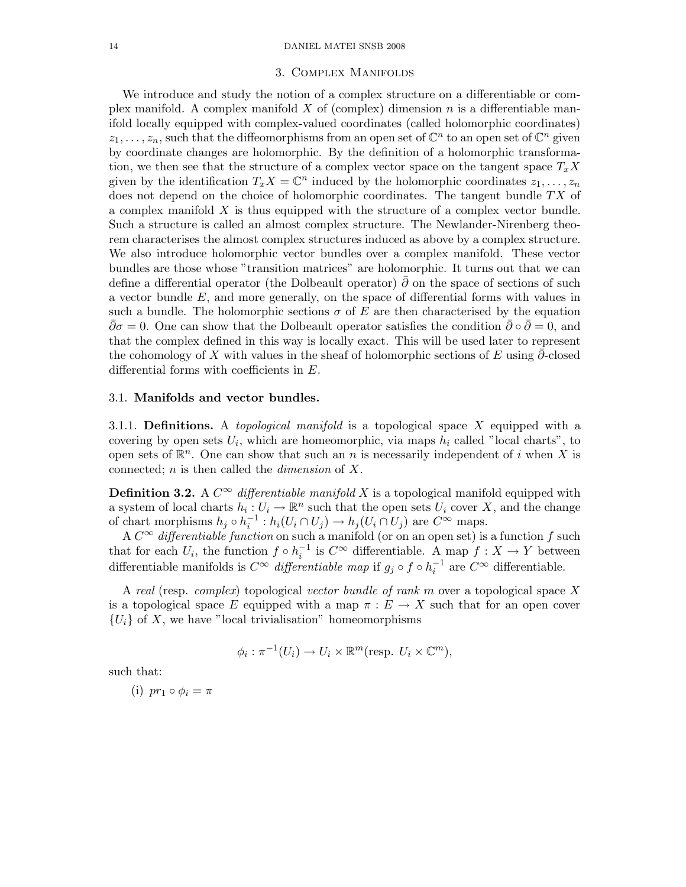## 3. Complex Manifolds

We introduce and study the notion of a complex structure on a differentiable or complex manifold. A complex manifold X of (complex) dimension n is a differentiable manifold locally equipped with complex-valued coordinates (called holomorphic coordinates)  $z_1, \ldots, z_n$ , such that the diffeomorphisms from an open set of  $\mathbb{C}^n$  to an open set of  $\mathbb{C}^n$  given by coordinate changes are holomorphic. By the definition of a holomorphic transformation, we then see that the structure of a complex vector space on the tangent space  $T_xX$ given by the identification  $T_x X = \mathbb{C}^n$  induced by the holomorphic coordinates  $z_1, \ldots, z_n$ does not depend on the choice of holomorphic coordinates. The tangent bundle TX of a complex manifold  $X$  is thus equipped with the structure of a complex vector bundle. Such a structure is called an almost complex structure. The Newlander-Nirenberg theorem characterises the almost complex structures induced as above by a complex structure. We also introduce holomorphic vector bundles over a complex manifold. These vector bundles are those whose "transition matrices" are holomorphic. It turns out that we can define a differential operator (the Dolbeault operator)  $\partial$  on the space of sections of such a vector bundle E, and more generally, on the space of differential forms with values in such a bundle. The holomorphic sections  $\sigma$  of E are then characterised by the equation  $\bar{\partial}\sigma=0$ . One can show that the Dolbeault operator satisfies the condition  $\bar{\partial}\circ\bar{\partial}=0$ , and that the complex defined in this way is locally exact. This will be used later to represent the cohomology of X with values in the sheaf of holomorphic sections of E using  $\partial$ -closed differential forms with coefficients in E.

# 3.1. Manifolds and vector bundles.

3.1.1. Definitions. A topological manifold is a topological space X equipped with a covering by open sets  $U_i$ , which are homeomorphic, via maps  $h_i$  called "local charts", to open sets of  $\mathbb{R}^n$ . One can show that such an n is necessarily independent of i when X is connected; n is then called the dimension of X.

**Definition 3.2.** A  $C^{\infty}$  differentiable manifold X is a topological manifold equipped with a system of local charts  $h_i: U_i \to \mathbb{R}^n$  such that the open sets  $U_i$  cover X, and the change of chart morphisms  $h_j \circ h_i^{-1} : h_i(U_i \cap U_j) \to h_j(U_i \cap U_j)$  are  $C^{\infty}$  maps.

A  $C^{\infty}$  differentiable function on such a manifold (or on an open set) is a function f such that for each  $U_i$ , the function  $f \circ h_i^{-1}$  is  $C^{\infty}$  differentiable. A map  $f : X \to Y$  between differentiable manifolds is  $C^{\infty}$  differentiable map if  $g_j \circ f \circ h_i^{-1}$  are  $C^{\infty}$  differentiable.

A real (resp. complex) topological vector bundle of rank m over a topological space  $X$ is a topological space E equipped with a map  $\pi : E \to X$  such that for an open cover  ${U_i}$  of X, we have "local trivialisation" homeomorphisms

$$
\phi_i : \pi^{-1}(U_i) \to U_i \times \mathbb{R}^m(\text{resp. } U_i \times \mathbb{C}^m),
$$

such that:

(i)  $pr_1 \circ \phi_i = \pi$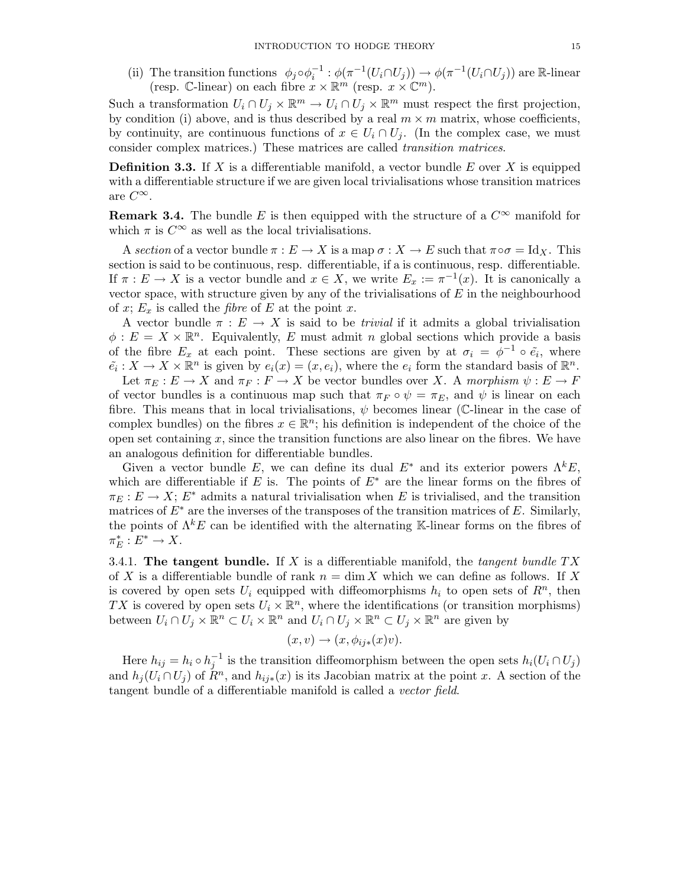(ii) The transition functions  $\phi_j \circ \phi_i^{-1} : \phi(\pi^{-1}(U_i \cap U_j)) \to \phi(\pi^{-1}(U_i \cap U_j))$  are R-linear (resp. C-linear) on each fibre  $x \times \mathbb{R}^m$  (resp.  $x \times \mathbb{C}^m$ ).

Such a transformation  $U_i \cap U_j \times \mathbb{R}^m \to U_i \cap U_j \times \mathbb{R}^m$  must respect the first projection, by condition (i) above, and is thus described by a real  $m \times m$  matrix, whose coefficients, by continuity, are continuous functions of  $x \in U_i \cap U_j$ . (In the complex case, we must consider complex matrices.) These matrices are called transition matrices.

**Definition 3.3.** If X is a differentiable manifold, a vector bundle E over X is equipped with a differentiable structure if we are given local trivialisations whose transition matrices are  $C^{\infty}$ .

**Remark 3.4.** The bundle E is then equipped with the structure of a  $C^{\infty}$  manifold for which  $\pi$  is  $C^{\infty}$  as well as the local trivialisations.

A section of a vector bundle  $\pi : E \to X$  is a map  $\sigma : X \to E$  such that  $\pi \circ \sigma = \mathrm{Id}_X$ . This section is said to be continuous, resp. differentiable, if a is continuous, resp. differentiable. If  $\pi : E \to X$  is a vector bundle and  $x \in X$ , we write  $E_x := \pi^{-1}(x)$ . It is canonically a vector space, with structure given by any of the trivialisations of  $E$  in the neighbourhood of x;  $E_x$  is called the *fibre* of E at the point x.

A vector bundle  $\pi : E \to X$  is said to be *trivial* if it admits a global trivialisation  $\phi: E = X \times \mathbb{R}^n$ . Equivalently, E must admit n global sections which provide a basis of the fibre  $E_x$  at each point. These sections are given by at  $\sigma_i = \phi^{-1} \circ \tilde{e}_i$ , where  $\tilde{e}_i: X \to X \times \mathbb{R}^n$  is given by  $e_i(x) = (x, e_i)$ , where the  $e_i$  form the standard basis of  $\mathbb{R}^n$ .

Let  $\pi_E : E \to X$  and  $\pi_F : F \to X$  be vector bundles over X. A morphism  $\psi : E \to F$ of vector bundles is a continuous map such that  $\pi_F \circ \psi = \pi_E$ , and  $\psi$  is linear on each fibre. This means that in local trivialisations,  $\psi$  becomes linear (C-linear in the case of complex bundles) on the fibres  $x \in \mathbb{R}^n$ ; his definition is independent of the choice of the open set containing  $x$ , since the transition functions are also linear on the fibres. We have an analogous definition for differentiable bundles.

Given a vector bundle E, we can define its dual  $E^*$  and its exterior powers  $\Lambda^k E$ , which are differentiable if E is. The points of  $E^*$  are the linear forms on the fibres of  $\pi_E : E \to X$ ;  $E^*$  admits a natural trivialisation when E is trivialised, and the transition matrices of  $E^*$  are the inverses of the transposes of the transition matrices of E. Similarly, the points of  $\Lambda^k E$  can be identified with the alternating K-linear forms on the fibres of  $\pi_E^*: E^* \to X.$ 

3.4.1. The tangent bundle. If X is a differentiable manifold, the tangent bundle  $TX$ of X is a differentiable bundle of rank  $n = \dim X$  which we can define as follows. If X is covered by open sets  $U_i$  equipped with diffeomorphisms  $h_i$  to open sets of  $R^n$ , then TX is covered by open sets  $U_i \times \mathbb{R}^n$ , where the identifications (or transition morphisms) between  $U_i \cap U_j \times \mathbb{R}^n \subset U_i \times \mathbb{R}^n$  and  $U_i \cap U_j \times \mathbb{R}^n \subset U_j \times \mathbb{R}^n$  are given by

$$
(x,v) \to (x, \phi_{ij*}(x)v).
$$

Here  $h_{ij} = h_i \circ h_j^{-1}$  is the transition diffeomorphism between the open sets  $h_i(U_i \cap U_j)$ and  $h_j(U_i \cap U_j)$  of  $\mathring{R}^n$ , and  $h_{ij*}(x)$  is its Jacobian matrix at the point x. A section of the tangent bundle of a differentiable manifold is called a vector field.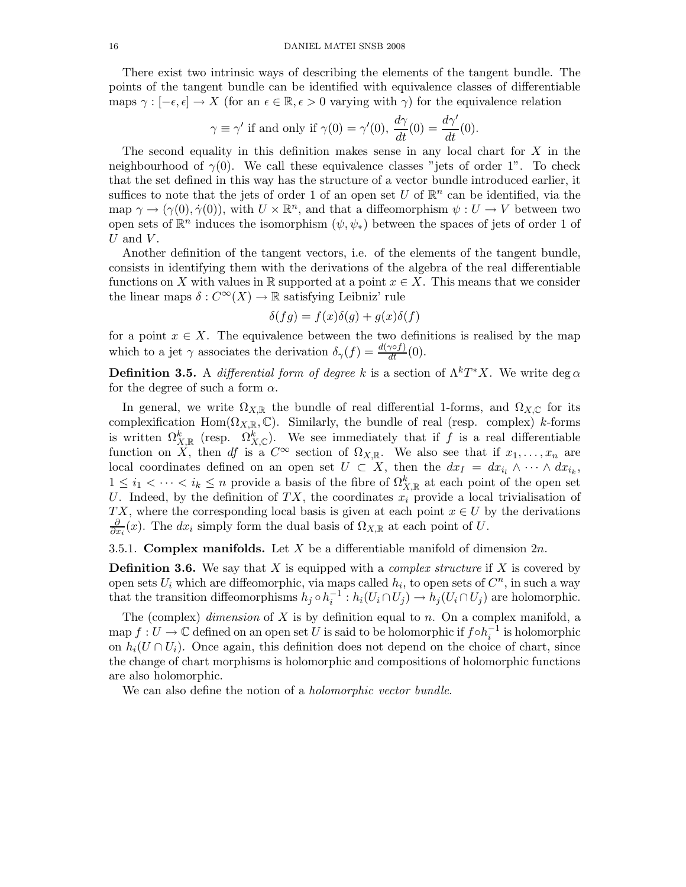There exist two intrinsic ways of describing the elements of the tangent bundle. The points of the tangent bundle can be identified with equivalence classes of differentiable maps  $\gamma : [-\epsilon, \epsilon] \to X$  (for an  $\epsilon \in \mathbb{R}, \epsilon > 0$  varying with  $\gamma$ ) for the equivalence relation

$$
\gamma \equiv \gamma'
$$
 if and only if  $\gamma(0) = \gamma'(0), \frac{d\gamma}{dt}(0) = \frac{d\gamma'}{dt}(0)$ .

The second equality in this definition makes sense in any local chart for  $X$  in the neighbourhood of  $\gamma(0)$ . We call these equivalence classes "jets of order 1". To check that the set defined in this way has the structure of a vector bundle introduced earlier, it suffices to note that the jets of order 1 of an open set U of  $\mathbb{R}^n$  can be identified, via the map  $\gamma \to (\gamma(0), \dot{\gamma}(0))$ , with  $U \times \mathbb{R}^n$ , and that a diffeomorphism  $\psi : U \to V$  between two open sets of  $\mathbb{R}^n$  induces the isomorphism  $(\psi, \psi_*)$  between the spaces of jets of order 1 of  $U$  and  $V$ .

Another definition of the tangent vectors, i.e. of the elements of the tangent bundle, consists in identifying them with the derivations of the algebra of the real differentiable functions on X with values in R supported at a point  $x \in X$ . This means that we consider the linear maps  $\delta: C^{\infty}(X) \to \mathbb{R}$  satisfying Leibniz' rule

$$
\delta(fg) = f(x)\delta(g) + g(x)\delta(f)
$$

for a point  $x \in X$ . The equivalence between the two definitions is realised by the map which to a jet  $\gamma$  associates the derivation  $\delta_{\gamma}(f) = \frac{d(\gamma \circ f)}{dt}(0)$ .

**Definition 3.5.** A differential form of degree k is a section of  $\Lambda^k T^* X$ . We write deg  $\alpha$ for the degree of such a form  $\alpha$ .

In general, we write  $\Omega_{X,\mathbb{R}}$  the bundle of real differential 1-forms, and  $\Omega_{X,\mathbb{C}}$  for its complexification Hom( $\Omega_{X,\mathbb{R}}, \mathbb{C}$ ). Similarly, the bundle of real (resp. complex) k-forms is written  $\Omega_{X,\mathbb{R}}^k$  (resp.  $\Omega_{X,\mathbb{C}}^k$ ). We see immediately that if f is a real differentiable function on X, then df is a  $C^{\infty}$  section of  $\Omega_{X,\mathbb{R}}$ . We also see that if  $x_1,\ldots,x_n$  are local coordinates defined on an open set  $U \subset X$ , then the  $dx_I = dx_{i_l} \wedge \cdots \wedge dx_{i_k}$ ,  $1 \leq i_1 < \cdots < i_k \leq n$  provide a basis of the fibre of  $\Omega_{X,\mathbb{R}}^k$  at each point of the open set U. Indeed, by the definition of  $TX$ , the coordinates  $x_i$  provide a local trivialisation of TX, where the corresponding local basis is given at each point  $x \in U$  by the derivations ∂  $\frac{\partial}{\partial x_i}(x)$ . The  $dx_i$  simply form the dual basis of  $\Omega_{X,\mathbb{R}}$  at each point of U.

3.5.1. Complex manifolds. Let X be a differentiable manifold of dimension  $2n$ .

**Definition 3.6.** We say that X is equipped with a *complex structure* if X is covered by open sets  $U_i$  which are diffeomorphic, via maps called  $h_i$ , to open sets of  $C<sup>n</sup>$ , in such a way that the transition diffeomorphisms  $h_j \circ h_i^{-1} : h_i(U_i \cap U_j) \to h_j(U_i \cap U_j)$  are holomorphic.

The (complex) dimension of  $X$  is by definition equal to  $n$ . On a complex manifold, a  $\mathrm{map}\; f:U\to\mathbb{C}$  defined on an open set  $U$  is said to be holomorphic if  $f\circ h_i^{-1}$  is holomorphic on  $h_i(U \cap U_i)$ . Once again, this definition does not depend on the choice of chart, since the change of chart morphisms is holomorphic and compositions of holomorphic functions are also holomorphic.

We can also define the notion of a *holomorphic vector bundle*.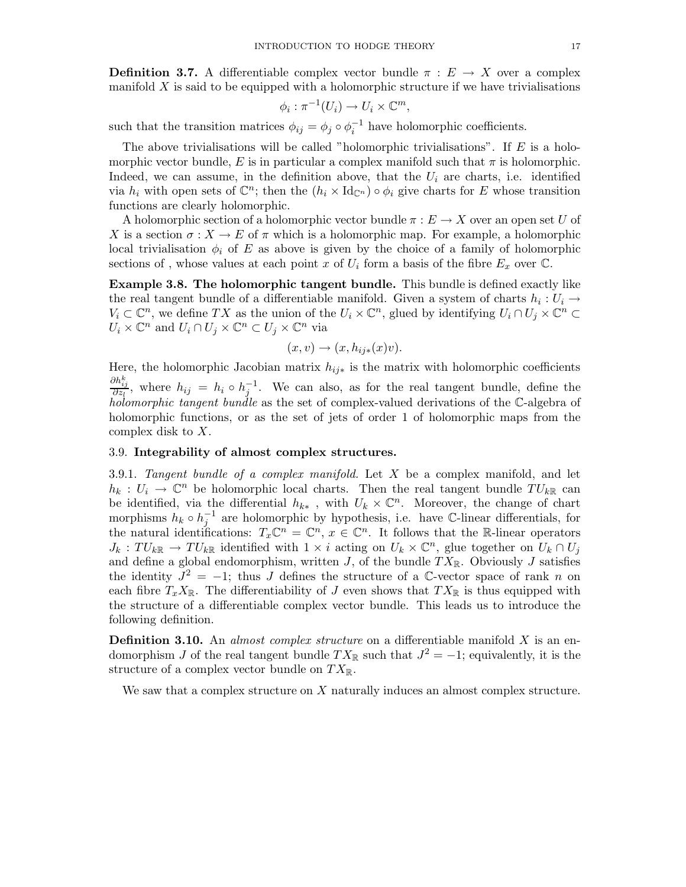**Definition 3.7.** A differentiable complex vector bundle  $\pi : E \to X$  over a complex manifold  $X$  is said to be equipped with a holomorphic structure if we have trivialisations

$$
\phi_i : \pi^{-1}(U_i) \to U_i \times \mathbb{C}^m,
$$

such that the transition matrices  $\phi_{ij} = \phi_j \circ \phi_i^{-1}$  have holomorphic coefficients.

The above trivialisations will be called "holomorphic trivialisations". If  $E$  is a holomorphic vector bundle, E is in particular a complex manifold such that  $\pi$  is holomorphic. Indeed, we can assume, in the definition above, that the  $U_i$  are charts, i.e. identified via  $h_i$  with open sets of  $\mathbb{C}^n$ ; then the  $(h_i \times \mathrm{Id}_{\mathbb{C}^n}) \circ \phi_i$  give charts for E whose transition functions are clearly holomorphic.

A holomorphic section of a holomorphic vector bundle  $\pi : E \to X$  over an open set U of X is a section  $\sigma: X \to E$  of  $\pi$  which is a holomorphic map. For example, a holomorphic local trivialisation  $\phi_i$  of E as above is given by the choice of a family of holomorphic sections of, whose values at each point x of  $U_i$  form a basis of the fibre  $E_x$  over  $\mathbb{C}$ .

Example 3.8. The holomorphic tangent bundle. This bundle is defined exactly like the real tangent bundle of a differentiable manifold. Given a system of charts  $h_i: U_i \to$  $V_i \subset \mathbb{C}^n$ , we define TX as the union of the  $U_i \times \mathbb{C}^n$ , glued by identifying  $U_i \cap U_j \times \mathbb{C}^n \subset$  $U_i \times \mathbb{C}^n$  and  $U_i \cap U_j \times \mathbb{C}^n \subset U_j \times \mathbb{C}^n$  via

$$
(x,v) \to (x,h_{ij*}(x)v).
$$

Here, the holomorphic Jacobian matrix  $h_{ij*}$  is the matrix with holomorphic coefficients  $\frac{\partial h_{ij}^k}{\partial z_l}$ , where  $h_{ij} = h_i \circ h_j^{-1}$ . We can also, as for the real tangent bundle, define the holomorphic tangent bundle as the set of complex-valued derivations of the  $\mathbb{C}$ -algebra of holomorphic functions, or as the set of jets of order 1 of holomorphic maps from the complex disk to X.

# 3.9. Integrability of almost complex structures.

3.9.1. Tangent bundle of a complex manifold. Let  $X$  be a complex manifold, and let  $h_k: U_i \to \mathbb{C}^n$  be holomorphic local charts. Then the real tangent bundle  $TU_{k\mathbb{R}}$  can be identified, via the differential  $h_{k*}$ , with  $U_k \times \mathbb{C}^n$ . Moreover, the change of chart morphisms  $h_k \circ h_j^{-1}$  are holomorphic by hypothesis, i.e. have C-linear differentials, for the natural identifications:  $T_x \mathbb{C}^n = \mathbb{C}^n$ ,  $x \in \mathbb{C}^n$ . It follows that the R-linear operators  $J_k: TU_{k\mathbb{R}} \to TU_{k\mathbb{R}}$  identified with  $1 \times i$  acting on  $U_k \times \mathbb{C}^n$ , glue together on  $U_k \cap U_j$ and define a global endomorphism, written  $J$ , of the bundle  $TX_{\mathbb{R}}$ . Obviously  $J$  satisfies the identity  $J^2 = -1$ ; thus J defines the structure of a C-vector space of rank n on each fibre  $T_xX_{\mathbb{R}}$ . The differentiability of J even shows that  $TX_{\mathbb{R}}$  is thus equipped with the structure of a differentiable complex vector bundle. This leads us to introduce the following definition.

**Definition 3.10.** An *almost complex structure* on a differentiable manifold  $X$  is an endomorphism J of the real tangent bundle  $TX_{\mathbb{R}}$  such that  $J^2 = -1$ ; equivalently, it is the structure of a complex vector bundle on  $TX_{\mathbb{R}}$ .

We saw that a complex structure on X naturally induces an almost complex structure.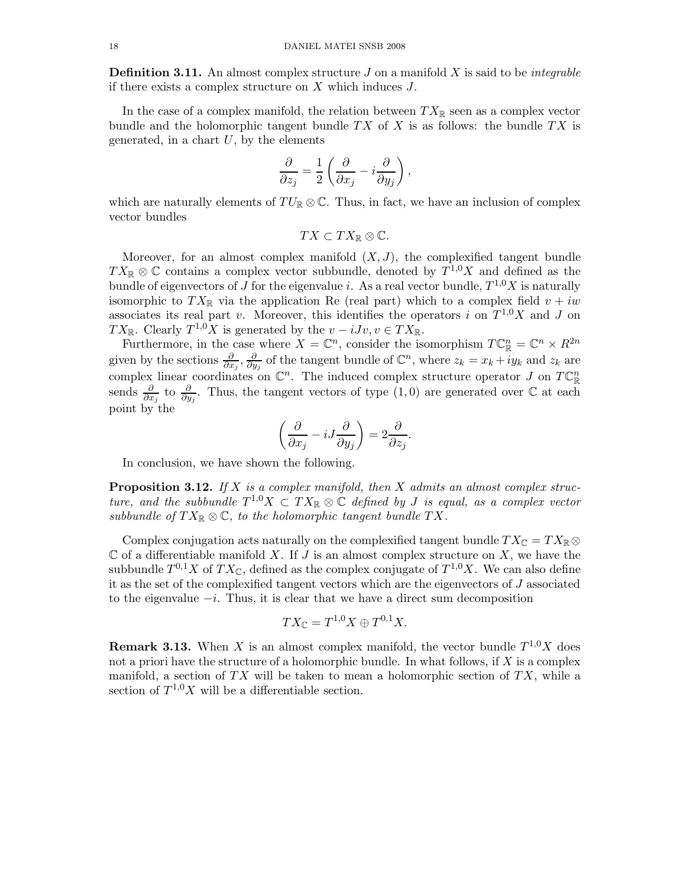**Definition 3.11.** An almost complex structure  $J$  on a manifold  $X$  is said to be *integrable* if there exists a complex structure on  $X$  which induces  $J$ .

In the case of a complex manifold, the relation between  $TX_{\mathbb{R}}$  seen as a complex vector bundle and the holomorphic tangent bundle  $TX$  of X is as follows: the bundle  $TX$  is generated, in a chart  $U$ , by the elements

$$
\frac{\partial}{\partial z_j} = \frac{1}{2} \left( \frac{\partial}{\partial x_j} - i \frac{\partial}{\partial y_j} \right),\,
$$

which are naturally elements of  $TU_{\mathbb{R}} \otimes \mathbb{C}$ . Thus, in fact, we have an inclusion of complex vector bundles

 $TX \subset TX_{\mathbb R} \otimes \mathbb C.$ 

Moreover, for an almost complex manifold  $(X, J)$ , the complexified tangent bundle  $TX_{\mathbb{R}} \otimes \mathbb{C}$  contains a complex vector subbundle, denoted by  $T^{1,0}X$  and defined as the bundle of eigenvectors of  $J$  for the eigenvalue i. As a real vector bundle,  $T^{1,0}X$  is naturally isomorphic to  $TX_{\mathbb{R}}$  via the application Re (real part) which to a complex field  $v + iw$ associates its real part v. Moreover, this identifies the operators i on  $T^{1,0}X$  and J on TX<sub>R</sub>. Clearly  $T^{1,0}X$  is generated by the  $v - iJv, v \in TX_{\mathbb{R}}$ .

Furthermore, in the case where  $X = \mathbb{C}^n$ , consider the isomorphism  $T\mathbb{C}^n_{\mathbb{R}} = \mathbb{C}^n \times R^{2n}$ given by the sections  $\frac{\partial}{\partial x_j}, \frac{\partial}{\partial y_j}$  $\frac{\partial}{\partial y_j}$  of the tangent bundle of  $\mathbb{C}^n$ , where  $z_k = x_k + iy_k$  and  $z_k$  are complex linear coordinates on  $\mathbb{C}^n$ . The induced complex structure operator J on  $T\mathbb{C}_\mathbb{R}^n$ sends  $\frac{\partial}{\partial x_j}$  to  $\frac{\partial}{\partial y_j}$ . Thus, the tangent vectors of type  $(1,0)$  are generated over  $\mathbb C$  at each point by the

$$
\left(\frac{\partial}{\partial x_j}-iJ\frac{\partial}{\partial y_j}\right)=2\frac{\partial}{\partial z_j}.
$$

In conclusion, we have shown the following.

**Proposition 3.12.** If X is a complex manifold, then X admits an almost complex structure, and the subbundle  $T^{1,0}X \subset TX_{\mathbb R} \otimes {\mathbb C}$  defined by J is equal, as a complex vector subbundle of  $TX_{\mathbb{R}} \otimes \mathbb{C}$ , to the holomorphic tangent bundle  $TX$ .

Complex conjugation acts naturally on the complexified tangent bundle  $TX_{\mathbb{C}} = TX_{\mathbb{R}} \otimes$  $\mathbb C$  of a differentiable manifold X. If J is an almost complex structure on X, we have the subbundle  $T^{0,1}X$  of  $TX_{\mathbb{C}}$ , defined as the complex conjugate of  $T^{1,0}X$ . We can also define it as the set of the complexified tangent vectors which are the eigenvectors of J associated to the eigenvalue  $-i$ . Thus, it is clear that we have a direct sum decomposition

$$
TX_{\mathbb C}=T^{1,0}X\oplus T^{0,1}X.
$$

**Remark 3.13.** When X is an almost complex manifold, the vector bundle  $T^{1,0}X$  does not a priori have the structure of a holomorphic bundle. In what follows, if  $X$  is a complex manifold, a section of  $TX$  will be taken to mean a holomorphic section of  $TX$ , while a section of  $T^{1,0}X$  will be a differentiable section.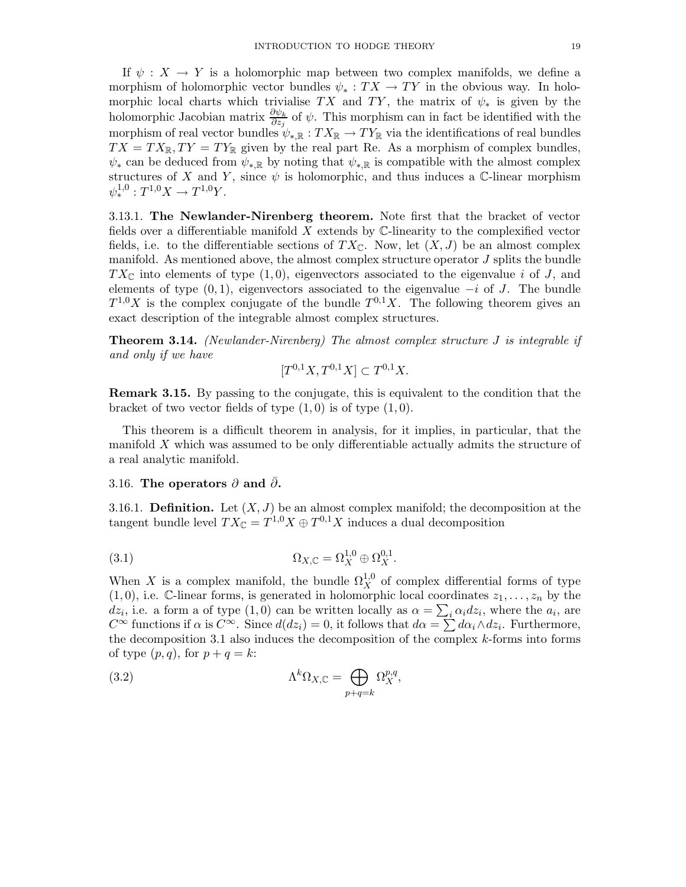If  $\psi: X \to Y$  is a holomorphic map between two complex manifolds, we define a morphism of holomorphic vector bundles  $\psi_* : TX \to TY$  in the obvious way. In holomorphic local charts which trivialise TX and TY, the matrix of  $\psi_*$  is given by the holomorphic Jacobian matrix  $\frac{\partial \psi_k}{\partial z_j}$  of  $\psi$ . This morphism can in fact be identified with the morphism of real vector bundles  $\psi_{*,\mathbb{R}} : TX_{\mathbb{R}} \to TY_{\mathbb{R}}$  via the identifications of real bundles  $TX = TX_{\mathbb{R}}, TY = TY_{\mathbb{R}}$  given by the real part Re. As a morphism of complex bundles,  $\psi_*$  can be deduced from  $\psi_{*,\mathbb{R}}$  by noting that  $\psi_{*,\mathbb{R}}$  is compatible with the almost complex structures of X and Y, since  $\psi$  is holomorphic, and thus induces a C-linear morphism  $\psi^{1,0}_*: T^{1,0}X \to T^{1,0}Y.$ 

3.13.1. The Newlander-Nirenberg theorem. Note first that the bracket of vector fields over a differentiable manifold  $X$  extends by  $\mathbb{C}\text{-linearity}$  to the complexified vector fields, i.e. to the differentiable sections of  $TX_{\mathbb{C}}$ . Now, let  $(X, J)$  be an almost complex manifold. As mentioned above, the almost complex structure operator J splits the bundle  $TX_{\mathbb{C}}$  into elements of type  $(1,0)$ , eigenvectors associated to the eigenvalue i of J, and elements of type  $(0, 1)$ , eigenvectors associated to the eigenvalue  $-i$  of J. The bundle  $T^{1,0}X$  is the complex conjugate of the bundle  $T^{0,1}X$ . The following theorem gives an exact description of the integrable almost complex structures.

Theorem 3.14. (Newlander-Nirenberg) The almost complex structure J is integrable if and only if we have

$$
[T^{0,1}X, T^{0,1}X] \subset T^{0,1}X.
$$

Remark 3.15. By passing to the conjugate, this is equivalent to the condition that the bracket of two vector fields of type  $(1, 0)$  is of type  $(1, 0)$ .

This theorem is a difficult theorem in analysis, for it implies, in particular, that the manifold X which was assumed to be only differentiable actually admits the structure of a real analytic manifold.

### 3.16. The operators  $\partial$  and  $\partial$ .

3.16.1. **Definition.** Let  $(X, J)$  be an almost complex manifold; the decomposition at the tangent bundle level  $TX_{\mathbb{C}} = T^{1,0}X \oplus T^{0,1}X$  induces a dual decomposition

(3.1) 
$$
\Omega_{X,\mathbb{C}} = \Omega_X^{1,0} \oplus \Omega_X^{0,1}.
$$

When X is a complex manifold, the bundle  $\Omega_X^{1,0}$  of complex differential forms of type  $(1, 0)$ , i.e. C-linear forms, is generated in holomorphic local coordinates  $z_1, \ldots, z_n$  by the dz<sub>i</sub>, i.e. a form a of type  $(1,0)$  can be written locally as  $\alpha = \sum_i \alpha_i dz_i$ , where the  $a_i$ , are  $C^{\infty}$  functions if  $\alpha$  is  $C^{\infty}$ . Since  $d(dz_i) = 0$ , it follows that  $d\alpha = \sum d\alpha_i \wedge dz_i$ . Furthermore, the decomposition 3.1 also induces the decomposition of the complex k-forms into forms of type  $(p,q)$ , for  $p+q=k$ :

(3.2) 
$$
\Lambda^k \Omega_{X,\mathbb{C}} = \bigoplus_{p+q=k} \Omega_X^{p,q},
$$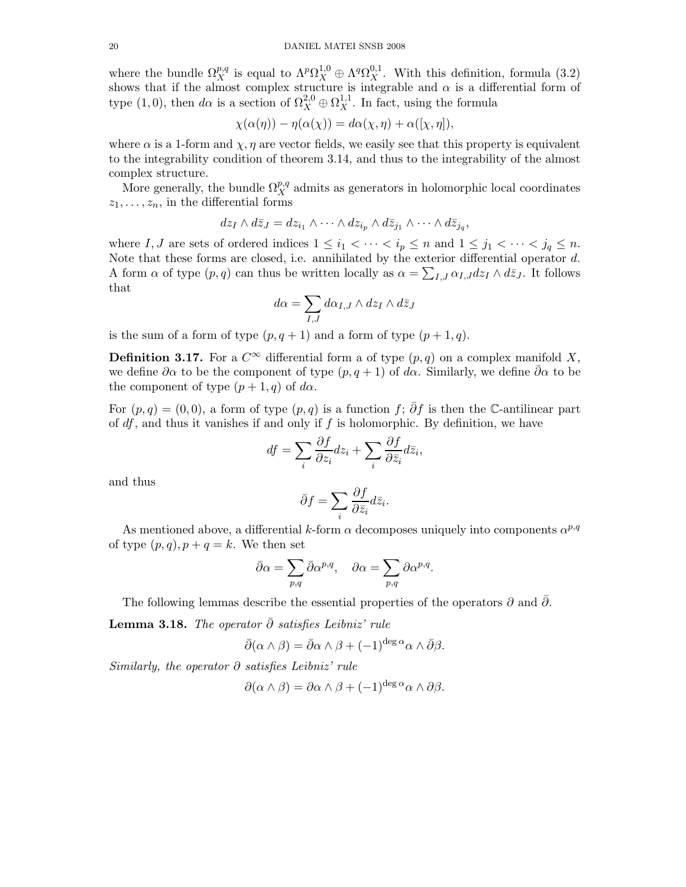where the bundle  $\Omega_X^{p,q}$  is equal to  $\Lambda^p \Omega_X^{1,0} \oplus \Lambda^q \Omega_X^{0,1}$ . With this definition, formula (3.2) shows that if the almost complex structure is integrable and  $\alpha$  is a differential form of type (1,0), then  $d\alpha$  is a section of  $\Omega_X^{2,0} \oplus \Omega_X^{1,1}$ . In fact, using the formula

$$
\chi(\alpha(\eta)) - \eta(\alpha(\chi)) = d\alpha(\chi, \eta) + \alpha([\chi, \eta]),
$$

where  $\alpha$  is a 1-form and  $\chi$ ,  $\eta$  are vector fields, we easily see that this property is equivalent to the integrability condition of theorem 3.14, and thus to the integrability of the almost complex structure.

More generally, the bundle  $\Omega_X^{p,q}$  admits as generators in holomorphic local coordinates  $z_1, \ldots, z_n$ , in the differential forms

$$
dz_I \wedge d\overline{z}_J = dz_{i_1} \wedge \cdots \wedge dz_{i_p} \wedge d\overline{z}_{j_1} \wedge \cdots \wedge d\overline{z}_{j_q},
$$

where I, J are sets of ordered indices  $1 \leq i_1 < \cdots < i_p \leq n$  and  $1 \leq j_1 < \cdots < j_q \leq n$ . Note that these forms are closed, i.e. annihilated by the exterior differential operator d. A form  $\alpha$  of type  $(p, q)$  can thus be written locally as  $\alpha = \sum_{I,J} \alpha_{I,J} dz_I \wedge d\overline{z}_J$ . It follows that

$$
d\alpha = \sum_{I,J} d\alpha_{I,J} \wedge dz_I \wedge d\bar{z}_J
$$

is the sum of a form of type  $(p, q + 1)$  and a form of type  $(p + 1, q)$ .

**Definition 3.17.** For a  $C^{\infty}$  differential form a of type  $(p, q)$  on a complex manifold X, we define  $\partial \alpha$  to be the component of type  $(p, q + 1)$  of  $d\alpha$ . Similarly, we define  $\partial \alpha$  to be the component of type  $(p+1,q)$  of  $d\alpha$ .

For  $(p,q) = (0,0)$ , a form of type  $(p,q)$  is a function f;  $\overline{\partial} f$  is then the C-antilinear part of  $df$ , and thus it vanishes if and only if f is holomorphic. By definition, we have

$$
df = \sum_{i} \frac{\partial f}{\partial z_i} dz_i + \sum_{i} \frac{\partial f}{\partial \bar{z}_i} d\bar{z}_i,
$$

and thus

$$
\bar{\partial}f = \sum_{i} \frac{\partial f}{\partial \bar{z}_i} d\bar{z}_i.
$$

As mentioned above, a differential k-form  $\alpha$  decomposes uniquely into components  $\alpha^{p,q}$ of type  $(p,q), p+q=k$ . We then set

$$
\bar{\partial}\alpha = \sum_{p,q} \bar{\partial}\alpha^{p,q}, \quad \partial\alpha = \sum_{p,q} \partial\alpha^{p,q}.
$$

The following lemmas describe the essential properties of the operators  $\partial$  and  $\partial$ .

**Lemma 3.18.** The operator  $\bar{\partial}$  satisfies Leibniz' rule

$$
\bar{\partial}(\alpha \wedge \beta) = \bar{\partial}\alpha \wedge \beta + (-1)^{\deg \alpha} \alpha \wedge \bar{\partial}\beta.
$$

Similarly, the operator  $\partial$  satisfies Leibniz' rule

$$
\partial(\alpha \wedge \beta) = \partial \alpha \wedge \beta + (-1)^{\deg \alpha} \alpha \wedge \partial \beta.
$$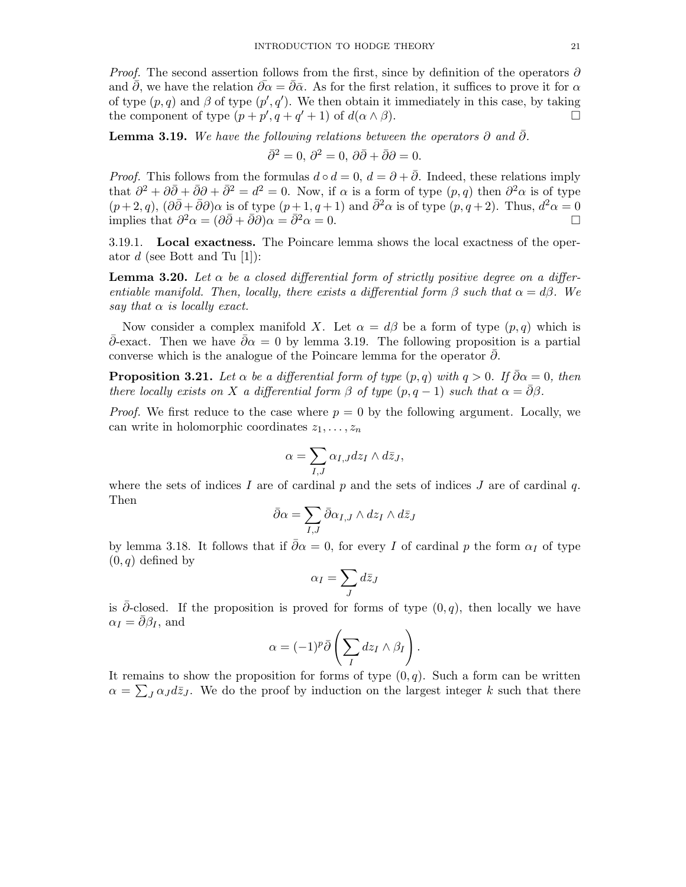*Proof.* The second assertion follows from the first, since by definition of the operators  $\partial$ and  $\bar{\partial}$ , we have the relation  $\partial \alpha = \bar{\partial} \bar{\alpha}$ . As for the first relation, it suffices to prove it for  $\alpha$ of type  $(p, q)$  and  $\beta$  of type  $(p', q')$ . We then obtain it immediately in this case, by taking the component of type  $(p+p',q+q'+1)$  of  $d(\alpha \wedge \beta)$ .

**Lemma 3.19.** We have the following relations between the operators  $\partial$  and  $\overline{\partial}$ .

$$
\bar{\partial}^2 = 0, \, \partial^2 = 0, \, \partial\bar{\partial} + \bar{\partial}\partial = 0.
$$

*Proof.* This follows from the formulas  $d \circ d = 0$ ,  $d = \partial + \overline{\partial}$ . Indeed, these relations imply that  $\partial^2 + \partial \bar{\partial} + \bar{\partial} \partial + \bar{\partial}^2 = d^2 = 0$ . Now, if  $\alpha$  is a form of type  $(p, q)$  then  $\partial^2 \alpha$  is of type  $(p+2,q)$ ,  $(\partial\bar{\partial}+\bar{\partial}\partial)\alpha$  is of type  $(p+1,q+1)$  and  $\bar{\partial}^2\alpha$  is of type  $(p,q+2)$ . Thus,  $d^2\alpha=0$ implies that  $\partial^2 \alpha = (\partial \bar{\partial} + \bar{\partial} \partial) \alpha = \bar{\partial}^2 \alpha = 0.$ 

3.19.1. Local exactness. The Poincare lemma shows the local exactness of the operator  $d$  (see Bott and Tu [1]):

**Lemma 3.20.** Let  $\alpha$  be a closed differential form of strictly positive degree on a differentiable manifold. Then, locally, there exists a differential form  $\beta$  such that  $\alpha = d\beta$ . We say that  $\alpha$  is locally exact.

Now consider a complex manifold X. Let  $\alpha = d\beta$  be a form of type  $(p,q)$  which is  $\bar{\partial}$ -exact. Then we have  $\bar{\partial} \alpha = 0$  by lemma 3.19. The following proposition is a partial converse which is the analogue of the Poincare lemma for the operator  $\partial$ .

**Proposition 3.21.** Let  $\alpha$  be a differential form of type  $(p, q)$  with  $q > 0$ . If  $\overline{\partial} \alpha = 0$ , then there locally exists on X a differential form  $\beta$  of type  $(p, q - 1)$  such that  $\alpha = \overline{\partial}\beta$ .

*Proof.* We first reduce to the case where  $p = 0$  by the following argument. Locally, we can write in holomorphic coordinates  $z_1, \ldots, z_n$ 

$$
\alpha = \sum_{I,J} \alpha_{I,J} dz_I \wedge d\bar{z}_J,
$$

where the sets of indices I are of cardinal p and the sets of indices I are of cardinal q. Then

$$
\bar{\partial}\alpha = \sum_{I,J} \bar{\partial}\alpha_{I,J} \wedge dz_I \wedge d\bar{z}_J
$$

by lemma 3.18. It follows that if  $\bar{\partial}\alpha = 0$ , for every I of cardinal p the form  $\alpha_I$  of type  $(0,q)$  defined by

$$
\alpha_I = \sum_J d\bar{z}_J
$$

is ∂-closed. If the proposition is proved for forms of type  $(0,q)$ , then locally we have  $\alpha_I = \bar{\partial}\beta_I$ , and

$$
\alpha = (-1)^{p} \bar{\partial} \left( \sum_{I} dz_{I} \wedge \beta_{I} \right).
$$

It remains to show the proposition for forms of type  $(0, q)$ . Such a form can be written  $\alpha = \sum_{J} \alpha_{J} d\bar{z}_{J}$ . We do the proof by induction on the largest integer k such that there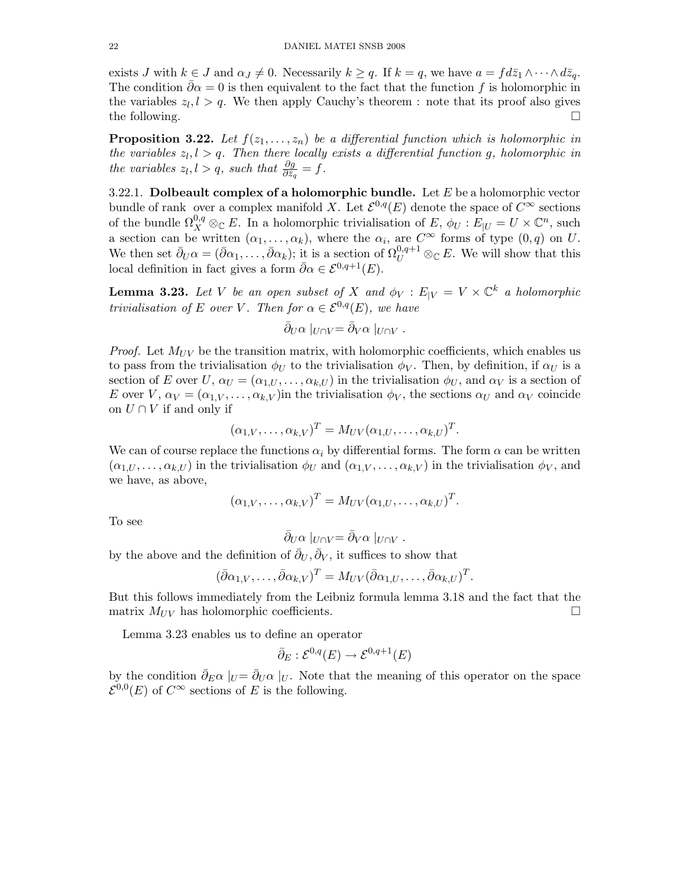exists J with  $k \in J$  and  $\alpha_J \neq 0$ . Necessarily  $k \geq q$ . If  $k = q$ , we have  $a = fd\overline{z}_1 \wedge \cdots \wedge d\overline{z}_q$ . The condition  $\bar{\partial} \alpha = 0$  is then equivalent to the fact that the function f is holomorphic in the variables  $z_l, l > q$ . We then apply Cauchy's theorem : note that its proof also gives the following.  $\square$ 

**Proposition 3.22.** Let  $f(z_1,...,z_n)$  be a differential function which is holomorphic in the variables  $z_l, l > q$ . Then there locally exists a differential function g, holomorphic in the variables  $z_l, l > q$ , such that  $\frac{\partial g}{\partial \bar{z}_q} = f$ .

3.22.1. Dolbeault complex of a holomorphic bundle. Let  $E$  be a holomorphic vector bundle of rank over a complex manifold X. Let  $\mathcal{E}^{0,q}(E)$  denote the space of  $C^{\infty}$  sections of the bundle  $\Omega_X^{0,q} \otimes_{\mathbb{C}} E$ . In a holomorphic trivialisation of  $E, \phi_U : E_{|U} = U \times \mathbb{C}^n$ , such a section can be written  $(\alpha_1, \ldots, \alpha_k)$ , where the  $\alpha_i$ , are  $C^{\infty}$  forms of type  $(0, q)$  on U. We then set  $\bar{\partial}_U \alpha = (\bar{\partial}_{\alpha_1}, \ldots, \bar{\partial}_{\alpha_k})$ ; it is a section of  $\Omega_U^{0,q+1} \otimes_{\mathbb{C}} E$ . We will show that this local definition in fact gives a form  $\bar{\partial} \alpha \in \mathcal{E}^{0,q+1}(E)$ .

**Lemma 3.23.** Let V be an open subset of X and  $\phi_V : E_{|V} = V \times \mathbb{C}^k$  a holomorphic trivialisation of E over V. Then for  $\alpha \in \mathcal{E}^{0,q}(E)$ , we have

$$
\bar{\partial}_U \alpha \mid_{U \cap V} = \bar{\partial}_V \alpha \mid_{U \cap V} .
$$

*Proof.* Let  $M_{UV}$  be the transition matrix, with holomorphic coefficients, which enables us to pass from the trivialisation  $\phi_U$  to the trivialisation  $\phi_V$ . Then, by definition, if  $\alpha_U$  is a section of E over  $U, \alpha_U = (\alpha_{1,U}, \ldots, \alpha_{k,U})$  in the trivialisation  $\phi_U$ , and  $\alpha_V$  is a section of E over V,  $\alpha_V = (\alpha_{1,V}, \ldots, \alpha_{k,V})$  in the trivialisation  $\phi_V$ , the sections  $\alpha_U$  and  $\alpha_V$  coincide on  $U \cap V$  if and only if

$$
(\alpha_{1,V},\ldots,\alpha_{k,V})^T = M_{UV}(\alpha_{1,U},\ldots,\alpha_{k,U})^T.
$$

We can of course replace the functions  $\alpha_i$  by differential forms. The form  $\alpha$  can be written  $(\alpha_{1,U},\ldots,\alpha_{k,U})$  in the trivialisation  $\phi_U$  and  $(\alpha_{1,V},\ldots,\alpha_{k,V})$  in the trivialisation  $\phi_V$ , and we have, as above,

$$
(\alpha_{1,V},\ldots,\alpha_{k,V})^T = M_{UV}(\alpha_{1,U},\ldots,\alpha_{k,U})^T.
$$

To see

 $\bar{\partial}_U \alpha \mid_{U \cap V} = \bar{\partial}_V \alpha \mid_{U \cap V}$ .

by the above and the definition of  $\bar{\partial}_U, \bar{\partial}_V$ , it suffices to show that

$$
(\bar{\partial}\alpha_{1,V},\ldots,\bar{\partial}\alpha_{k,V})^T = M_{UV}(\bar{\partial}\alpha_{1,U},\ldots,\bar{\partial}\alpha_{k,U})^T.
$$

But this follows immediately from the Leibniz formula lemma 3.18 and the fact that the matrix  $M_{UV}$  has holomorphic coefficients.

Lemma 3.23 enables us to define an operator

$$
\bar{\partial}_E : \mathcal{E}^{0,q}(E) \to \mathcal{E}^{0,q+1}(E)
$$

by the condition  $\bar{\partial}_E \alpha \mid_U = \bar{\partial}_U \alpha \mid_U$ . Note that the meaning of this operator on the space  $\mathcal{E}^{0,0}(E)$  of  $C^{\infty}$  sections of E is the following.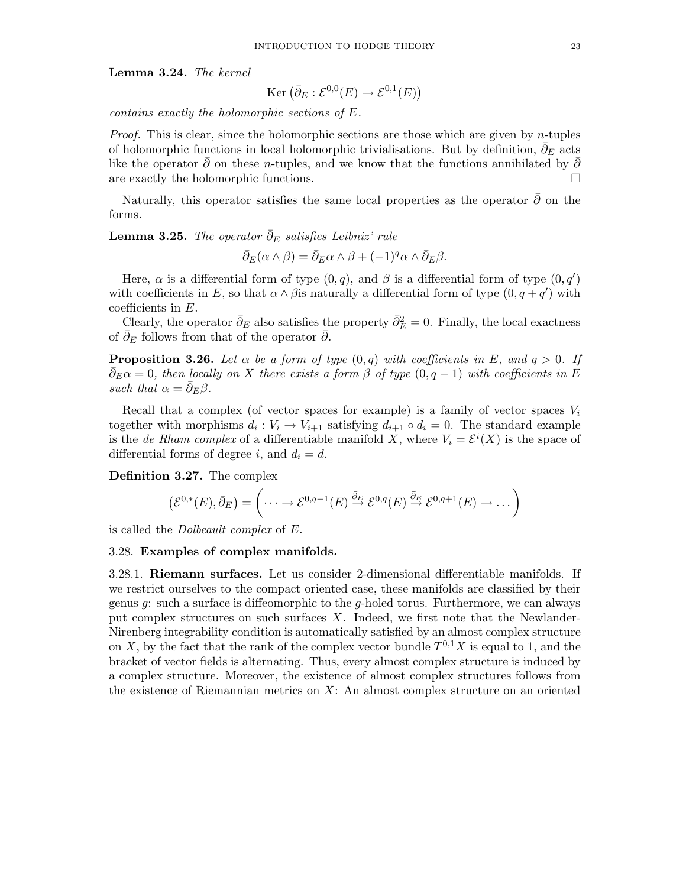Lemma 3.24. The kernel

$$
Ker\left(\bar{\partial}_E : \mathcal{E}^{0,0}(E) \to \mathcal{E}^{0,1}(E)\right)
$$

contains exactly the holomorphic sections of E.

*Proof.* This is clear, since the holomorphic sections are those which are given by n-tuples of holomorphic functions in local holomorphic trivialisations. But by definition,  $\partial_E$  acts like the operator  $\bar{\partial}$  on these n-tuples, and we know that the functions annihilated by  $\bar{\partial}$ are exactly the holomorphic functions.

Naturally, this operator satisfies the same local properties as the operator  $\bar{\partial}$  on the forms.

**Lemma 3.25.** The operator  $\bar{\partial}_E$  satisfies Leibniz' rule

$$
\bar{\partial}_E(\alpha \wedge \beta) = \bar{\partial}_E \alpha \wedge \beta + (-1)^q \alpha \wedge \bar{\partial}_E \beta.
$$

Here,  $\alpha$  is a differential form of type  $(0, q)$ , and  $\beta$  is a differential form of type  $(0, q')$ with coefficients in E, so that  $\alpha \wedge \beta$  is naturally a differential form of type  $(0, q + q')$  with coefficients in E.

Clearly, the operator  $\bar{\partial}_E$  also satisfies the property  $\bar{\partial}_E^2 = 0$ . Finally, the local exactness of  $\bar{\partial}_E$  follows from that of the operator  $\bar{\partial}$ .

**Proposition 3.26.** Let  $\alpha$  be a form of type  $(0,q)$  with coefficients in E, and  $q > 0$ . If  $\partial_E \alpha = 0$ , then locally on X there exists a form  $\beta$  of type  $(0, q - 1)$  with coefficients in E such that  $\alpha = \bar{\partial}_E \beta$ .

Recall that a complex (of vector spaces for example) is a family of vector spaces  $V_i$ together with morphisms  $d_i: V_i \to V_{i+1}$  satisfying  $d_{i+1} \circ d_i = 0$ . The standard example is the de Rham complex of a differentiable manifold X, where  $V_i = \mathcal{E}^i(X)$  is the space of differential forms of degree i, and  $d_i = d$ .

Definition 3.27. The complex

$$
(\mathcal{E}^{0,*}(E),\bar{\partial}_E) = \left(\cdots \to \mathcal{E}^{0,q-1}(E) \stackrel{\bar{\partial}_E}{\to} \mathcal{E}^{0,q}(E) \stackrel{\bar{\partial}_E}{\to} \mathcal{E}^{0,q+1}(E) \to \dots\right)
$$

is called the Dolbeault complex of E.

## 3.28. Examples of complex manifolds.

3.28.1. Riemann surfaces. Let us consider 2-dimensional differentiable manifolds. If we restrict ourselves to the compact oriented case, these manifolds are classified by their genus  $g$ : such a surface is diffeomorphic to the  $g$ -holed torus. Furthermore, we can always put complex structures on such surfaces  $X$ . Indeed, we first note that the Newlander-Nirenberg integrability condition is automatically satisfied by an almost complex structure on X, by the fact that the rank of the complex vector bundle  $T^{0,1}X$  is equal to 1, and the bracket of vector fields is alternating. Thus, every almost complex structure is induced by a complex structure. Moreover, the existence of almost complex structures follows from the existence of Riemannian metrics on  $X$ : An almost complex structure on an oriented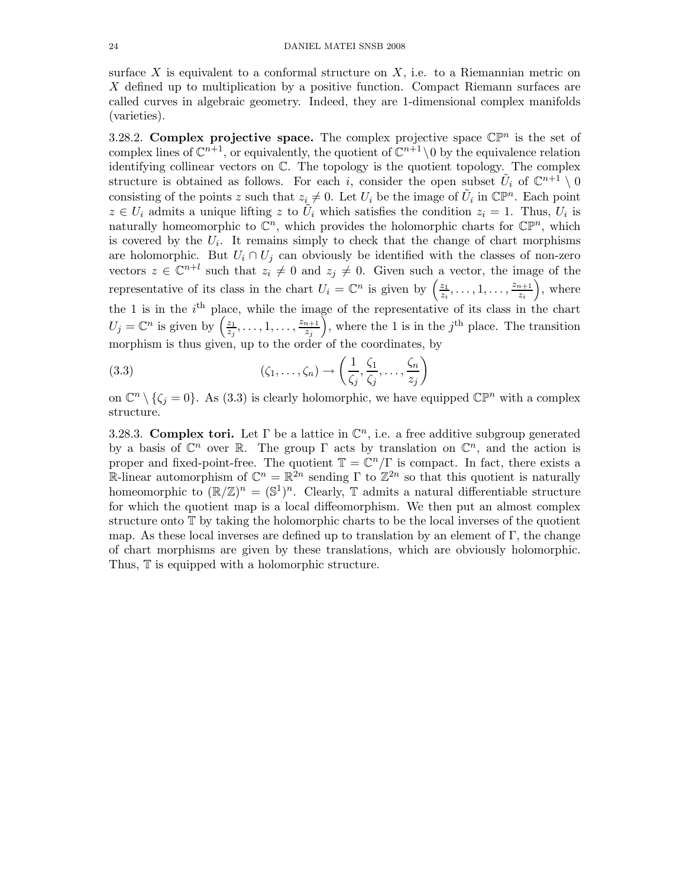surface  $X$  is equivalent to a conformal structure on  $X$ , i.e. to a Riemannian metric on X defined up to multiplication by a positive function. Compact Riemann surfaces are called curves in algebraic geometry. Indeed, they are 1-dimensional complex manifolds (varieties).

3.28.2. Complex projective space. The complex projective space  $\mathbb{CP}^n$  is the set of complex lines of  $\mathbb{C}^{n+1}$ , or equivalently, the quotient of  $\mathbb{C}^{n+1}\setminus 0$  by the equivalence relation identifying collinear vectors on C. The topology is the quotient topology. The complex structure is obtained as follows. For each i, consider the open subset  $\tilde{U}_i$  of  $\mathbb{C}^{n+1} \setminus 0$ consisting of the points z such that  $z_i \neq 0$ . Let  $U_i$  be the image of  $\tilde{U}_i$  in  $\mathbb{CP}^n$ . Each point  $z \in U_i$  admits a unique lifting z to  $\tilde{U}_i$  which satisfies the condition  $z_i = 1$ . Thus,  $U_i$  is naturally homeomorphic to  $\mathbb{C}^n$ , which provides the holomorphic charts for  $\mathbb{CP}^n$ , which is covered by the  $U_i$ . It remains simply to check that the change of chart morphisms are holomorphic. But  $U_i \cap U_j$  can obviously be identified with the classes of non-zero vectors  $z \in \mathbb{C}^{n+l}$  such that  $z_i \neq 0$  and  $z_j \neq 0$ . Given such a vector, the image of the representative of its class in the chart  $U_i = \mathbb{C}^n$  is given by  $\left(\frac{z_1}{z_i}\right)$  $\frac{z_1}{z_i},\ldots,1,\ldots,\frac{z_{n+1}}{z_i}$  $\left(\frac{n+1}{z_i}\right)$ , where the 1 is in the  $i<sup>th</sup>$  place, while the image of the representative of its class in the chart  $U_j = \mathbb{C}^n$  is given by  $\left(\frac{z_1}{z_i}\right)$  $\frac{z_1}{z_j},\ldots,1,\ldots,\frac{z_{n+1}}{z_j}$  $\left(\frac{n+1}{z_j}\right)$ , where the 1 is in the j<sup>th</sup> place. The transition morphism is thus given, up to the order of the coordinates, by

(3.3) 
$$
(\zeta_1, \ldots, \zeta_n) \to \left(\frac{1}{\zeta_j}, \frac{\zeta_1}{\zeta_j}, \ldots, \frac{\zeta_n}{z_j}\right)
$$

on  $\mathbb{C}^n \setminus \{\zeta_j = 0\}$ . As (3.3) is clearly holomorphic, we have equipped  $\mathbb{C}\mathbb{P}^n$  with a complex structure.

3.28.3. Complex tori. Let  $\Gamma$  be a lattice in  $\mathbb{C}^n$ , i.e. a free additive subgroup generated by a basis of  $\mathbb{C}^n$  over R. The group  $\Gamma$  acts by translation on  $\mathbb{C}^n$ , and the action is proper and fixed-point-free. The quotient  $\mathbb{T} = \mathbb{C}^n/\Gamma$  is compact. In fact, there exists a R-linear automorphism of  $\mathbb{C}^n = \mathbb{R}^{2n}$  sending  $\Gamma$  to  $\mathbb{Z}^{2n}$  so that this quotient is naturally homeomorphic to  $(\mathbb{R}/\mathbb{Z})^n = (\mathbb{S}^1)^n$ . Clearly,  $\mathbb T$  admits a natural differentiable structure for which the quotient map is a local diffeomorphism. We then put an almost complex structure onto T by taking the holomorphic charts to be the local inverses of the quotient map. As these local inverses are defined up to translation by an element of Γ, the change of chart morphisms are given by these translations, which are obviously holomorphic. Thus,  $\mathbb T$  is equipped with a holomorphic structure.